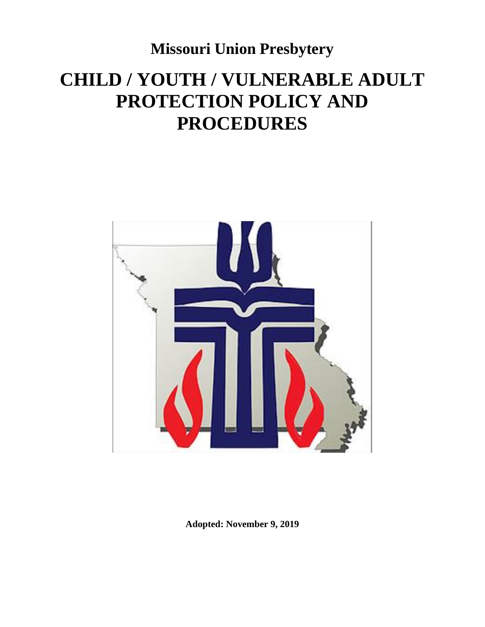**Missouri Union Presbytery**

# **CHILD / YOUTH / VULNERABLE ADULT PROTECTION POLICY AND PROCEDURES**



**Adopted: November 9, 2019**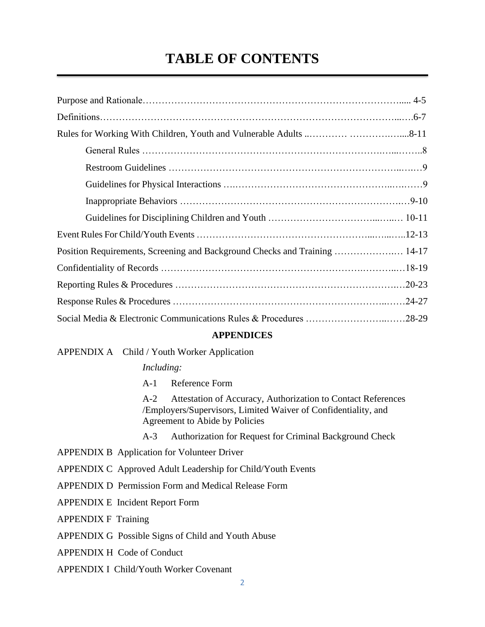## **TABLE OF CONTENTS**

| Position Requirements, Screening and Background Checks and Training  14-17 |  |
|----------------------------------------------------------------------------|--|
|                                                                            |  |
|                                                                            |  |
|                                                                            |  |
| Social Media & Electronic Communications Rules & Procedures 28-29          |  |

#### **APPENDICES**

#### APPENDIX A Child / Youth Worker Application

### *Including:*

A-1 Reference Form

A-2 Attestation of Accuracy, Authorization to Contact References /Employers/Supervisors, Limited Waiver of Confidentiality, and Agreement to Abide by Policies

- A-3 Authorization for Request for Criminal Background Check
- APPENDIX B Application for Volunteer Driver
- APPENDIX C Approved Adult Leadership for Child/Youth Events
- APPENDIX D Permission Form and Medical Release Form
- APPENDIX E Incident Report Form

APPENDIX F Training

- APPENDIX G Possible Signs of Child and Youth Abuse
- APPENDIX H Code of Conduct

APPENDIX I Child/Youth Worker Covenant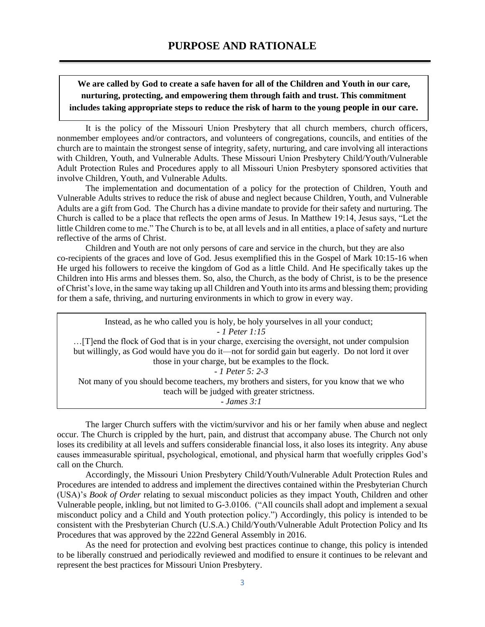**We are called by God to create a safe haven for all of the Children and Youth in our care, nurturing, protecting, and empowering them through faith and trust. This commitment includes taking appropriate steps to reduce the risk of harm to the young people in our care.**

It is the policy of the Missouri Union Presbytery that all church members, church officers, nonmember employees and/or contractors, and volunteers of congregations, councils, and entities of the church are to maintain the strongest sense of integrity, safety, nurturing, and care involving all interactions with Children, Youth, and Vulnerable Adults. These Missouri Union Presbytery Child/Youth/Vulnerable Adult Protection Rules and Procedures apply to all Missouri Union Presbytery sponsored activities that involve Children, Youth, and Vulnerable Adults.

The implementation and documentation of a policy for the protection of Children, Youth and Vulnerable Adults strives to reduce the risk of abuse and neglect because Children, Youth, and Vulnerable Adults are a gift from God. The Church has a divine mandate to provide for their safety and nurturing. The Church is called to be a place that reflects the open arms of Jesus. In Matthew 19:14, Jesus says, "Let the little Children come to me." The Church is to be, at all levels and in all entities, a place of safety and nurture reflective of the arms of Christ.

Children and Youth are not only persons of care and service in the church, but they are also co-recipients of the graces and love of God. Jesus exemplified this in the Gospel of Mark 10:15-16 when He urged his followers to receive the kingdom of God as a little Child. And He specifically takes up the Children into His arms and blesses them. So, also, the Church, as the body of Christ, is to be the presence of Christ's love, in the same way taking up all Children and Youth into its arms and blessing them; providing for them a safe, thriving, and nurturing environments in which to grow in every way.

Instead, as he who called you is holy, be holy yourselves in all your conduct; *- 1 Peter 1:15* …[T]end the flock of God that is in your charge, exercising the oversight, not under compulsion but willingly, as God would have you do it—not for sordid gain but eagerly. Do not lord it over those in your charge, but be examples to the flock. - *1 Peter 5: 2-3* Not many of you should become teachers, my brothers and sisters, for you know that we who teach will be judged with greater strictness. - *James 3:1*

The larger Church suffers with the victim/survivor and his or her family when abuse and neglect occur. The Church is crippled by the hurt, pain, and distrust that accompany abuse. The Church not only loses its credibility at all levels and suffers considerable financial loss, it also loses its integrity. Any abuse causes immeasurable spiritual, psychological, emotional, and physical harm that woefully cripples God's call on the Church.

Accordingly, the Missouri Union Presbytery Child/Youth/Vulnerable Adult Protection Rules and Procedures are intended to address and implement the directives contained within the Presbyterian Church (USA)'s *Book of Order* relating to sexual misconduct policies as they impact Youth, Children and other Vulnerable people, inkling, but not limited to G-3.0106. ("All councils shall adopt and implement a sexual misconduct policy and a Child and Youth protection policy.") Accordingly, this policy is intended to be consistent with the Presbyterian Church (U.S.A.) Child/Youth/Vulnerable Adult Protection Policy and Its Procedures that was approved by the 222nd General Assembly in 2016.

As the need for protection and evolving best practices continue to change, this policy is intended to be liberally construed and periodically reviewed and modified to ensure it continues to be relevant and represent the best practices for Missouri Union Presbytery.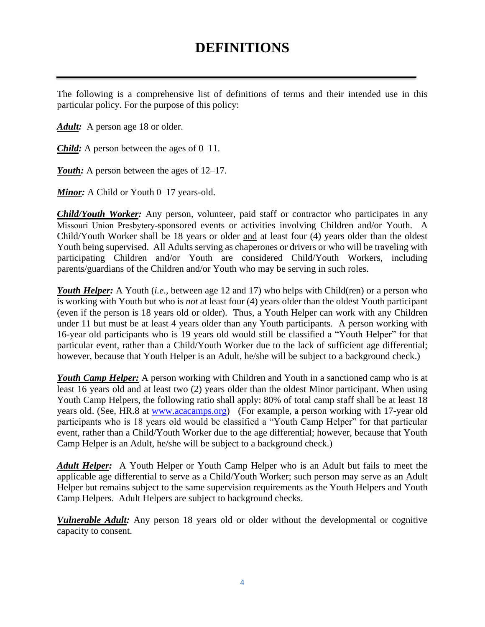## **DEFINITIONS**

The following is a comprehensive list of definitions of terms and their intended use in this particular policy. For the purpose of this policy:

Adult: A person age 18 or older.

*Child:* A person between the ages of 0–11.

*Youth:* A person between the ages of 12–17.

*Minor:* A Child or Youth 0–17 years-old.

*Child/Youth Worker:* Any person, volunteer, paid staff or contractor who participates in any Missouri Union Presbytery-sponsored events or activities involving Children and/or Youth. A Child/Youth Worker shall be 18 years or older and at least four (4) years older than the oldest Youth being supervised. All Adults serving as chaperones or drivers or who will be traveling with participating Children and/or Youth are considered Child/Youth Workers, including parents/guardians of the Children and/or Youth who may be serving in such roles.

*Youth Helper:* A Youth *(i.e., between age 12 and 17)* who helps with Child(ren) or a person who is working with Youth but who is *not* at least four (4) years older than the oldest Youth participant (even if the person is 18 years old or older). Thus, a Youth Helper can work with any Children under 11 but must be at least 4 years older than any Youth participants. A person working with 16-year old participants who is 19 years old would still be classified a "Youth Helper" for that particular event, rather than a Child/Youth Worker due to the lack of sufficient age differential; however, because that Youth Helper is an Adult, he/she will be subject to a background check.)

*Youth Camp Helper:* A person working with Children and Youth in a sanctioned camp who is at least 16 years old and at least two (2) years older than the oldest Minor participant. When using Youth Camp Helpers, the following ratio shall apply: 80% of total camp staff shall be at least 18 years old. (See, HR.8 at [www.acacamps.org\)](http://www.acacamps.org/)(For example, a person working with 17-year old participants who is 18 years old would be classified a "Youth Camp Helper" for that particular event, rather than a Child/Youth Worker due to the age differential; however, because that Youth Camp Helper is an Adult, he/she will be subject to a background check.)

*Adult Helper:* A Youth Helper or Youth Camp Helper who is an Adult but fails to meet the applicable age differential to serve as a Child/Youth Worker; such person may serve as an Adult Helper but remains subject to the same supervision requirements as the Youth Helpers and Youth Camp Helpers. Adult Helpers are subject to background checks.

*Vulnerable Adult:* Any person 18 years old or older without the developmental or cognitive capacity to consent.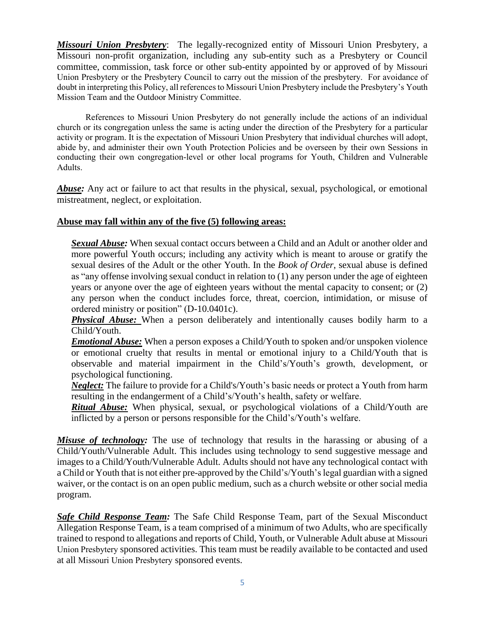*Missouri Union Presbytery*: The legally-recognized entity of Missouri Union Presbytery, a Missouri non-profit organization, including any sub-entity such as a Presbytery or Council committee, commission, task force or other sub-entity appointed by or approved of by Missouri Union Presbytery or the Presbytery Council to carry out the mission of the presbytery. For avoidance of doubt in interpreting this Policy, all references to Missouri Union Presbytery include the Presbytery's Youth Mission Team and the Outdoor Ministry Committee.

References to Missouri Union Presbytery do not generally include the actions of an individual church or its congregation unless the same is acting under the direction of the Presbytery for a particular activity or program. It is the expectation of Missouri Union Presbytery that individual churches will adopt, abide by, and administer their own Youth Protection Policies and be overseen by their own Sessions in conducting their own congregation-level or other local programs for Youth, Children and Vulnerable Adults.

**Abuse:** Any act or failure to act that results in the physical, sexual, psychological, or emotional mistreatment, neglect, or exploitation.

### **Abuse may fall within any of the five (5) following areas:**

*Sexual Abuse:* When sexual contact occurs between a Child and an Adult or another older and more powerful Youth occurs; including any activity which is meant to arouse or gratify the sexual desires of the Adult or the other Youth. In the *Book of Order*, sexual abuse is defined as "any offense involving sexual conduct in relation to (1) any person under the age of eighteen years or anyone over the age of eighteen years without the mental capacity to consent; or (2) any person when the conduct includes force, threat, coercion, intimidation, or misuse of ordered ministry or position" (D-10.0401c).

*Physical Abuse:* When a person deliberately and intentionally causes bodily harm to a Child/Youth.

*Emotional Abuse:* When a person exposes a Child/Youth to spoken and/or unspoken violence or emotional cruelty that results in mental or emotional injury to a Child/Youth that is observable and material impairment in the Child's/Youth's growth, development, or psychological functioning.

*Neglect:* The failure to provide for a Child's/Youth's basic needs or protect a Youth from harm resulting in the endangerment of a Child's/Youth's health, safety or welfare.

*Ritual Abuse:* When physical, sexual, or psychological violations of a Child/Youth are inflicted by a person or persons responsible for the Child's/Youth's welfare.

*Misuse of technology:* The use of technology that results in the harassing or abusing of a Child/Youth/Vulnerable Adult. This includes using technology to send suggestive message and images to a Child/Youth/Vulnerable Adult. Adults should not have any technological contact with a Child or Youth that is not either pre-approved by the Child's/Youth's legal guardian with a signed waiver, or the contact is on an open public medium, such as a church website or other social media program.

*Safe Child Response Team:* The Safe Child Response Team, part of the Sexual Misconduct Allegation Response Team, is a team comprised of a minimum of two Adults, who are specifically trained to respond to allegations and reports of Child, Youth, or Vulnerable Adult abuse at Missouri Union Presbytery sponsored activities. This team must be readily available to be contacted and used at all Missouri Union Presbytery sponsored events.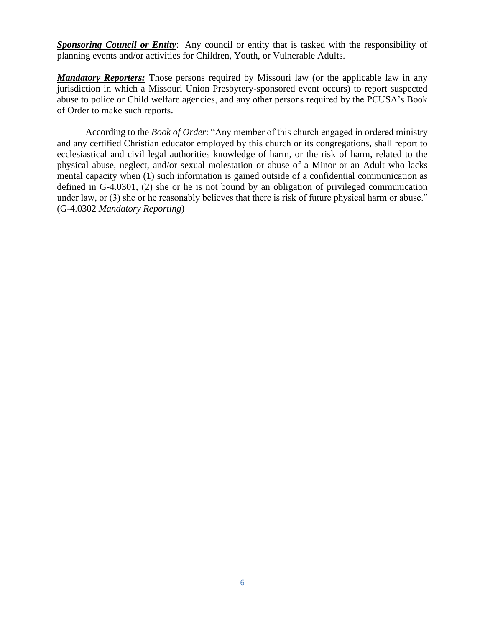*Sponsoring Council or Entity*: Any council or entity that is tasked with the responsibility of planning events and/or activities for Children, Youth, or Vulnerable Adults.

*Mandatory Reporters:* Those persons required by Missouri law (or the applicable law in any jurisdiction in which a Missouri Union Presbytery-sponsored event occurs) to report suspected abuse to police or Child welfare agencies, and any other persons required by the PCUSA's Book of Order to make such reports.

According to the *Book of Order*: "Any member of this church engaged in ordered ministry and any certified Christian educator employed by this church or its congregations, shall report to ecclesiastical and civil legal authorities knowledge of harm, or the risk of harm, related to the physical abuse, neglect, and/or sexual molestation or abuse of a Minor or an Adult who lacks mental capacity when (1) such information is gained outside of a confidential communication as defined in G-4.0301, (2) she or he is not bound by an obligation of privileged communication under law, or (3) she or he reasonably believes that there is risk of future physical harm or abuse." (G-4.0302 *Mandatory Reporting*)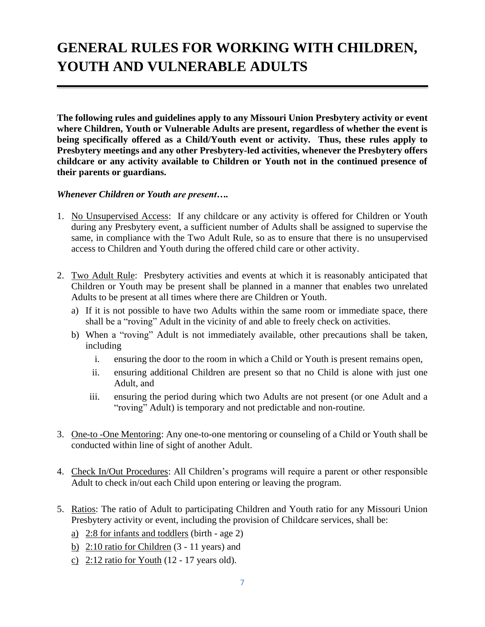# **GENERAL RULES FOR WORKING WITH CHILDREN, YOUTH AND VULNERABLE ADULTS**

**The following rules and guidelines apply to any Missouri Union Presbytery activity or event where Children, Youth or Vulnerable Adults are present, regardless of whether the event is being specifically offered as a Child/Youth event or activity. Thus, these rules apply to Presbytery meetings and any other Presbytery-led activities, whenever the Presbytery offers childcare or any activity available to Children or Youth not in the continued presence of their parents or guardians.**

### *Whenever Children or Youth are present….*

- 1. No Unsupervised Access: If any childcare or any activity is offered for Children or Youth during any Presbytery event, a sufficient number of Adults shall be assigned to supervise the same, in compliance with the Two Adult Rule, so as to ensure that there is no unsupervised access to Children and Youth during the offered child care or other activity.
- 2. Two Adult Rule: Presbytery activities and events at which it is reasonably anticipated that Children or Youth may be present shall be planned in a manner that enables two unrelated Adults to be present at all times where there are Children or Youth.
	- a) If it is not possible to have two Adults within the same room or immediate space, there shall be a "roving" Adult in the vicinity of and able to freely check on activities.
	- b) When a "roving" Adult is not immediately available, other precautions shall be taken, including
		- i. ensuring the door to the room in which a Child or Youth is present remains open,
		- ii. ensuring additional Children are present so that no Child is alone with just one Adult, and
		- iii. ensuring the period during which two Adults are not present (or one Adult and a "roving" Adult) is temporary and not predictable and non-routine.
- 3. One-to -One Mentoring: Any one-to-one mentoring or counseling of a Child or Youth shall be conducted within line of sight of another Adult.
- 4. Check In/Out Procedures: All Children's programs will require a parent or other responsible Adult to check in/out each Child upon entering or leaving the program.
- 5. Ratios: The ratio of Adult to participating Children and Youth ratio for any Missouri Union Presbytery activity or event, including the provision of Childcare services, shall be:
	- a) 2:8 for infants and toddlers (birth age 2)
	- b) 2:10 ratio for Children (3 11 years) and
	- c)  $2:12$  ratio for Youth (12 17 years old).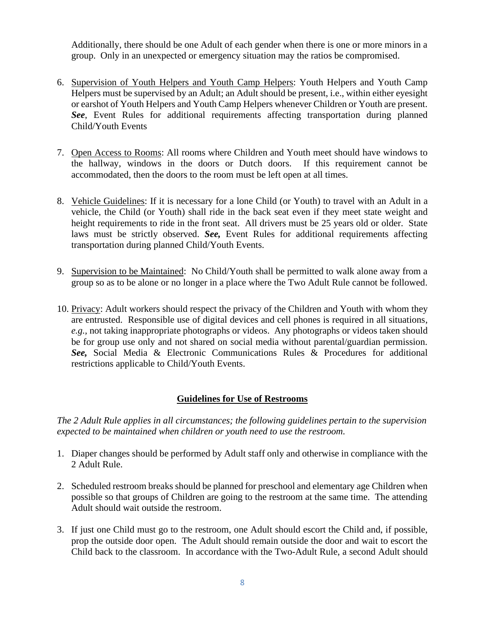Additionally, there should be one Adult of each gender when there is one or more minors in a group. Only in an unexpected or emergency situation may the ratios be compromised.

- 6. Supervision of Youth Helpers and Youth Camp Helpers: Youth Helpers and Youth Camp Helpers must be supervised by an Adult; an Adult should be present, i.e., within either eyesight or earshot of Youth Helpers and Youth Camp Helpers whenever Children or Youth are present. *See*, Event Rules for additional requirements affecting transportation during planned Child/Youth Events
- 7. Open Access to Rooms: All rooms where Children and Youth meet should have windows to the hallway, windows in the doors or Dutch doors. If this requirement cannot be accommodated, then the doors to the room must be left open at all times.
- 8. Vehicle Guidelines: If it is necessary for a lone Child (or Youth) to travel with an Adult in a vehicle, the Child (or Youth) shall ride in the back seat even if they meet state weight and height requirements to ride in the front seat. All drivers must be 25 years old or older. State laws must be strictly observed. *See,* Event Rules for additional requirements affecting transportation during planned Child/Youth Events.
- 9. Supervision to be Maintained: No Child/Youth shall be permitted to walk alone away from a group so as to be alone or no longer in a place where the Two Adult Rule cannot be followed.
- 10. Privacy: Adult workers should respect the privacy of the Children and Youth with whom they are entrusted. Responsible use of digital devices and cell phones is required in all situations, *e.g.,* not taking inappropriate photographs or videos. Any photographs or videos taken should be for group use only and not shared on social media without parental/guardian permission. *See,* Social Media & Electronic Communications Rules & Procedures for additional restrictions applicable to Child/Youth Events.

## **Guidelines for Use of Restrooms**

*The 2 Adult Rule applies in all circumstances; the following guidelines pertain to the supervision expected to be maintained when children or youth need to use the restroom.*

- 1. Diaper changes should be performed by Adult staff only and otherwise in compliance with the 2 Adult Rule.
- 2. Scheduled restroom breaks should be planned for preschool and elementary age Children when possible so that groups of Children are going to the restroom at the same time. The attending Adult should wait outside the restroom.
- 3. If just one Child must go to the restroom, one Adult should escort the Child and, if possible, prop the outside door open. The Adult should remain outside the door and wait to escort the Child back to the classroom. In accordance with the Two-Adult Rule, a second Adult should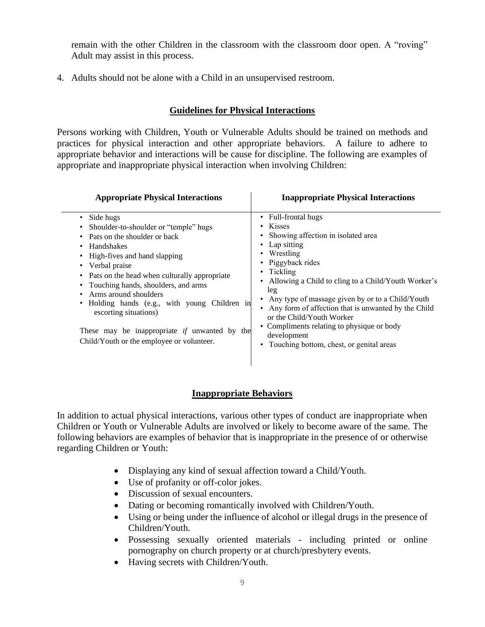remain with the other Children in the classroom with the classroom door open. A "roving" Adult may assist in this process.

4. Adults should not be alone with a Child in an unsupervised restroom.

## **Guidelines for Physical Interactions**

Persons working with Children, Youth or Vulnerable Adults should be trained on methods and practices for physical interaction and other appropriate behaviors. A failure to adhere to appropriate behavior and interactions will be cause for discipline. The following are examples of appropriate and inappropriate physical interaction when involving Children:

| <b>Appropriate Physical Interactions</b>                                                                                                                                                                                                                                                                                                                                                                                                                                                  | <b>Inappropriate Physical Interactions</b>                                                                                                                                                                                                                                                                                                                                                                                                                                  |
|-------------------------------------------------------------------------------------------------------------------------------------------------------------------------------------------------------------------------------------------------------------------------------------------------------------------------------------------------------------------------------------------------------------------------------------------------------------------------------------------|-----------------------------------------------------------------------------------------------------------------------------------------------------------------------------------------------------------------------------------------------------------------------------------------------------------------------------------------------------------------------------------------------------------------------------------------------------------------------------|
| Side hugs<br>٠<br>Shoulder-to-shoulder or "temple" hugs<br>٠<br>Pats on the shoulder or back<br>٠<br>Handshakes<br>٠<br>High-fives and hand slapping<br>٠<br>Verbal praise<br>Pats on the head when culturally appropriate<br>$\bullet$<br>Touching hands, shoulders, and arms<br>Arms around shoulders<br>Holding hands (e.g., with young Children in<br>٠<br>escorting situations)<br>These may be inappropriate <i>if</i> unwanted by the<br>Child/Youth or the employee or volunteer. | • Full-frontal hugs<br><b>Kisses</b><br>• Showing affection in isolated area<br>• Lap sitting<br>Wrestling<br>• Piggyback rides<br>Tickling<br>$\bullet$<br>• Allowing a Child to cling to a Child/Youth Worker's<br>leg<br>Any type of massage given by or to a Child/Youth<br>• Any form of affection that is unwanted by the Child<br>or the Child/Youth Worker<br>• Compliments relating to physique or body<br>development<br>Touching bottom, chest, or genital areas |

### **Inappropriate Behaviors**

In addition to actual physical interactions, various other types of conduct are inappropriate when Children or Youth or Vulnerable Adults are involved or likely to become aware of the same. The following behaviors are examples of behavior that is inappropriate in the presence of or otherwise regarding Children or Youth:

- Displaying any kind of sexual affection toward a Child/Youth.
- Use of profanity or off-color jokes.
- Discussion of sexual encounters.
- Dating or becoming romantically involved with Children/Youth.
- Using or being under the influence of alcohol or illegal drugs in the presence of Children/Youth.
- Possessing sexually oriented materials including printed or online pornography on church property or at church/presbytery events.
- Having secrets with Children/Youth.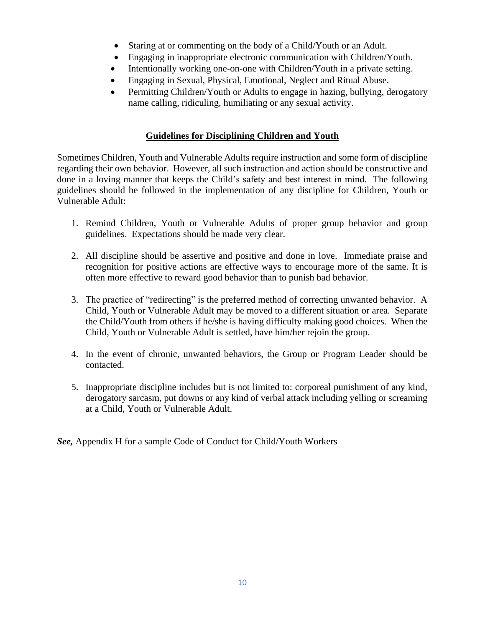- Staring at or commenting on the body of a Child/Youth or an Adult.
- Engaging in inappropriate electronic communication with Children/Youth.
- Intentionally working one-on-one with Children/Youth in a private setting.
- Engaging in Sexual, Physical, Emotional, Neglect and Ritual Abuse.
- Permitting Children/Youth or Adults to engage in hazing, bullying, derogatory name calling, ridiculing, humiliating or any sexual activity.

### **Guidelines for Disciplining Children and Youth**

Sometimes Children, Youth and Vulnerable Adults require instruction and some form of discipline regarding their own behavior. However, all such instruction and action should be constructive and done in a loving manner that keeps the Child's safety and best interest in mind. The following guidelines should be followed in the implementation of any discipline for Children, Youth or Vulnerable Adult:

- 1. Remind Children, Youth or Vulnerable Adults of proper group behavior and group guidelines. Expectations should be made very clear.
- 2. All discipline should be assertive and positive and done in love. Immediate praise and recognition for positive actions are effective ways to encourage more of the same. It is often more effective to reward good behavior than to punish bad behavior.
- 3. The practice of "redirecting" is the preferred method of correcting unwanted behavior. A Child, Youth or Vulnerable Adult may be moved to a different situation or area. Separate the Child/Youth from others if he/she is having difficulty making good choices. When the Child, Youth or Vulnerable Adult is settled, have him/her rejoin the group.
- 4. In the event of chronic, unwanted behaviors, the Group or Program Leader should be contacted.
- 5. Inappropriate discipline includes but is not limited to: corporeal punishment of any kind, derogatory sarcasm, put downs or any kind of verbal attack including yelling or screaming at a Child, Youth or Vulnerable Adult.

*See,* Appendix H for a sample Code of Conduct for Child/Youth Workers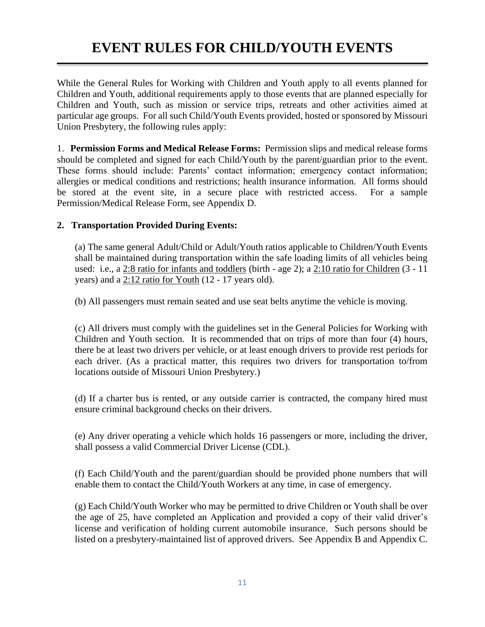## **EVENT RULES FOR CHILD/YOUTH EVENTS**

While the General Rules for Working with Children and Youth apply to all events planned for Children and Youth, additional requirements apply to those events that are planned especially for Children and Youth, such as mission or service trips, retreats and other activities aimed at particular age groups. For all such Child/Youth Events provided, hosted or sponsored by Missouri Union Presbytery, the following rules apply:

1. **Permission Forms and Medical Release Forms:** Permission slips and medical release forms should be completed and signed for each Child/Youth by the parent/guardian prior to the event. These forms should include: Parents' contact information; emergency contact information; allergies or medical conditions and restrictions; health insurance information. All forms should be stored at the event site, in a secure place with restricted access. For a sample Permission/Medical Release Form, see Appendix D.

### **2. Transportation Provided During Events:**

(a) The same general Adult/Child or Adult/Youth ratios applicable to Children/Youth Events shall be maintained during transportation within the safe loading limits of all vehicles being used: i.e., a 2:8 ratio for infants and toddlers (birth - age 2); a 2:10 ratio for Children (3 - 11 years) and a 2:12 ratio for Youth (12 - 17 years old).

(b) All passengers must remain seated and use seat belts anytime the vehicle is moving.

(c) All drivers must comply with the guidelines set in the General Policies for Working with Children and Youth section. It is recommended that on trips of more than four (4) hours, there be at least two drivers per vehicle, or at least enough drivers to provide rest periods for each driver. (As a practical matter, this requires two drivers for transportation to/from locations outside of Missouri Union Presbytery.)

(d) If a charter bus is rented, or any outside carrier is contracted, the company hired must ensure criminal background checks on their drivers.

(e) Any driver operating a vehicle which holds 16 passengers or more, including the driver, shall possess a valid Commercial Driver License (CDL).

(f) Each Child/Youth and the parent/guardian should be provided phone numbers that will enable them to contact the Child/Youth Workers at any time, in case of emergency.

(g) Each Child/Youth Worker who may be permitted to drive Children or Youth shall be over the age of 25, have completed an Application and provided a copy of their valid driver's license and verification of holding current automobile insurance. Such persons should be listed on a presbytery-maintained list of approved drivers. See Appendix B and Appendix C.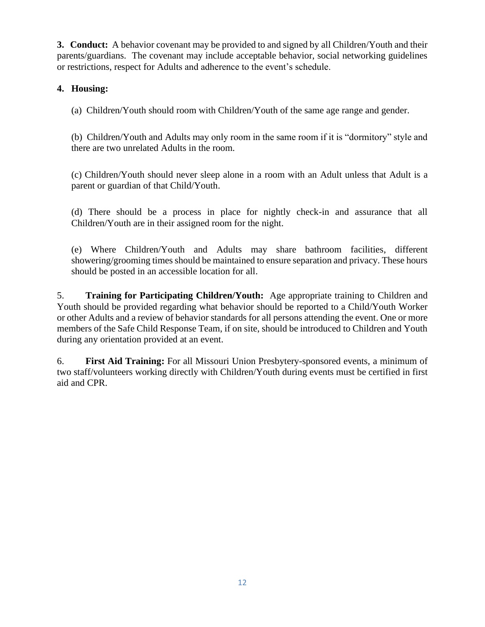**3. Conduct:** A behavior covenant may be provided to and signed by all Children/Youth and their parents/guardians. The covenant may include acceptable behavior, social networking guidelines or restrictions, respect for Adults and adherence to the event's schedule.

## **4. Housing:**

(a) Children/Youth should room with Children/Youth of the same age range and gender.

(b) Children/Youth and Adults may only room in the same room if it is "dormitory" style and there are two unrelated Adults in the room.

(c) Children/Youth should never sleep alone in a room with an Adult unless that Adult is a parent or guardian of that Child/Youth.

(d) There should be a process in place for nightly check-in and assurance that all Children/Youth are in their assigned room for the night.

(e) Where Children/Youth and Adults may share bathroom facilities, different showering/grooming times should be maintained to ensure separation and privacy. These hours should be posted in an accessible location for all.

5. **Training for Participating Children/Youth:** Age appropriate training to Children and Youth should be provided regarding what behavior should be reported to a Child/Youth Worker or other Adults and a review of behavior standards for all persons attending the event. One or more members of the Safe Child Response Team, if on site, should be introduced to Children and Youth during any orientation provided at an event.

6. **First Aid Training:** For all Missouri Union Presbytery-sponsored events, a minimum of two staff/volunteers working directly with Children/Youth during events must be certified in first aid and CPR.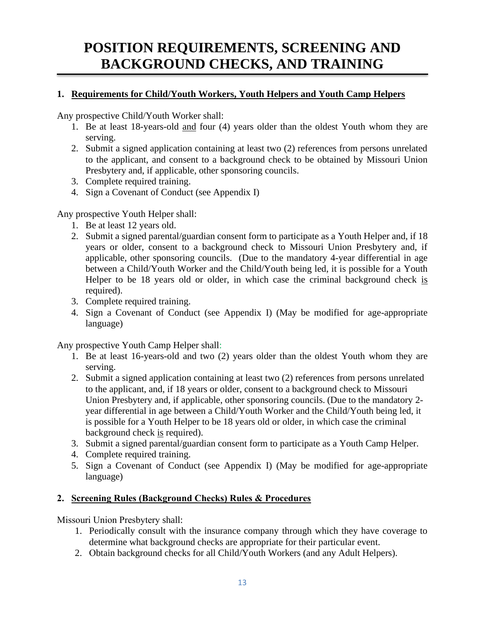# **POSITION REQUIREMENTS, SCREENING AND BACKGROUND CHECKS, AND TRAINING**

## **1. Requirements for Child/Youth Workers, Youth Helpers and Youth Camp Helpers**

Any prospective Child/Youth Worker shall:

- 1. Be at least 18-years-old and four (4) years older than the oldest Youth whom they are serving.
- 2. Submit a signed application containing at least two (2) references from persons unrelated to the applicant, and consent to a background check to be obtained by Missouri Union Presbytery and, if applicable, other sponsoring councils.
- 3. Complete required training.
- 4. Sign a Covenant of Conduct (see Appendix I)

## Any prospective Youth Helper shall:

- 1. Be at least 12 years old.
- 2. Submit a signed parental/guardian consent form to participate as a Youth Helper and, if 18 years or older, consent to a background check to Missouri Union Presbytery and, if applicable, other sponsoring councils. (Due to the mandatory 4-year differential in age between a Child/Youth Worker and the Child/Youth being led, it is possible for a Youth Helper to be 18 years old or older, in which case the criminal background check is required).
- 3. Complete required training.
- 4. Sign a Covenant of Conduct (see Appendix I) (May be modified for age-appropriate language)

Any prospective Youth Camp Helper shall:

- 1. Be at least 16-years-old and two (2) years older than the oldest Youth whom they are serving.
- 2. Submit a signed application containing at least two (2) references from persons unrelated to the applicant, and, if 18 years or older, consent to a background check to Missouri Union Presbytery and, if applicable, other sponsoring councils. (Due to the mandatory 2 year differential in age between a Child/Youth Worker and the Child/Youth being led, it is possible for a Youth Helper to be 18 years old or older, in which case the criminal background check is required).
- 3. Submit a signed parental/guardian consent form to participate as a Youth Camp Helper.
- 4. Complete required training.
- 5. Sign a Covenant of Conduct (see Appendix I) (May be modified for age-appropriate language)

## **2. Screening Rules (Background Checks) Rules & Procedures**

Missouri Union Presbytery shall:

- 1. Periodically consult with the insurance company through which they have coverage to determine what background checks are appropriate for their particular event.
- 2. Obtain background checks for all Child/Youth Workers (and any Adult Helpers).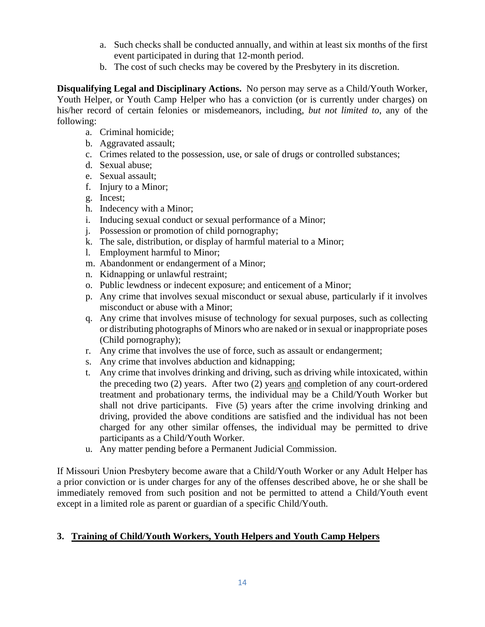- a. Such checks shall be conducted annually, and within at least six months of the first event participated in during that 12-month period.
- b. The cost of such checks may be covered by the Presbytery in its discretion.

**Disqualifying Legal and Disciplinary Actions.** No person may serve as a Child/Youth Worker, Youth Helper, or Youth Camp Helper who has a conviction (or is currently under charges) on his/her record of certain felonies or misdemeanors, including, *but not limited to*, any of the following:

- a. Criminal homicide;
- b. Aggravated assault;
- c. Crimes related to the possession, use, or sale of drugs or controlled substances;
- d. Sexual abuse;
- e. Sexual assault;
- f. Injury to a Minor;
- g. Incest;
- h. Indecency with a Minor;
- i. Inducing sexual conduct or sexual performance of a Minor;
- j. Possession or promotion of child pornography;
- k. The sale, distribution, or display of harmful material to a Minor;
- l. Employment harmful to Minor;
- m. Abandonment or endangerment of a Minor;
- n. Kidnapping or unlawful restraint;
- o. Public lewdness or indecent exposure; and enticement of a Minor;
- p. Any crime that involves sexual misconduct or sexual abuse, particularly if it involves misconduct or abuse with a Minor;
- q. Any crime that involves misuse of technology for sexual purposes, such as collecting or distributing photographs of Minors who are naked or in sexual or inappropriate poses (Child pornography);
- r. Any crime that involves the use of force, such as assault or endangerment;
- s. Any crime that involves abduction and kidnapping;
- t. Any crime that involves drinking and driving, such as driving while intoxicated, within the preceding two (2) years. After two (2) years and completion of any court-ordered treatment and probationary terms, the individual may be a Child/Youth Worker but shall not drive participants. Five (5) years after the crime involving drinking and driving, provided the above conditions are satisfied and the individual has not been charged for any other similar offenses, the individual may be permitted to drive participants as a Child/Youth Worker.
- u. Any matter pending before a Permanent Judicial Commission.

If Missouri Union Presbytery become aware that a Child/Youth Worker or any Adult Helper has a prior conviction or is under charges for any of the offenses described above, he or she shall be immediately removed from such position and not be permitted to attend a Child/Youth event except in a limited role as parent or guardian of a specific Child/Youth.

## **3. Training of Child/Youth Workers, Youth Helpers and Youth Camp Helpers**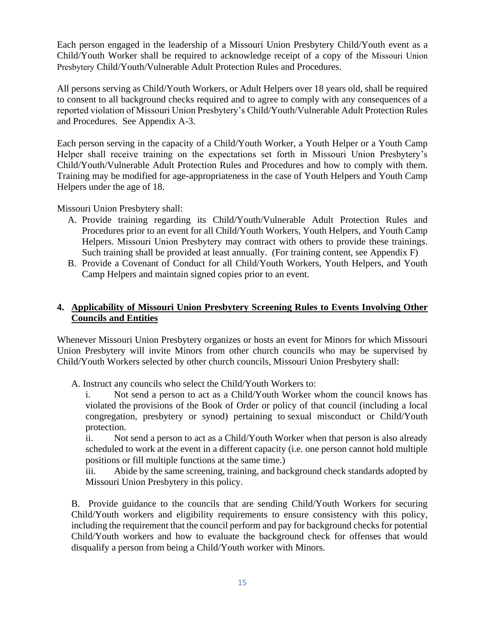Each person engaged in the leadership of a Missouri Union Presbytery Child/Youth event as a Child/Youth Worker shall be required to acknowledge receipt of a copy of the Missouri Union Presbytery Child/Youth/Vulnerable Adult Protection Rules and Procedures.

All persons serving as Child/Youth Workers, or Adult Helpers over 18 years old, shall be required to consent to all background checks required and to agree to comply with any consequences of a reported violation of Missouri Union Presbytery's Child/Youth/Vulnerable Adult Protection Rules and Procedures. See Appendix A-3.

Each person serving in the capacity of a Child/Youth Worker, a Youth Helper or a Youth Camp Helper shall receive training on the expectations set forth in Missouri Union Presbytery's Child/Youth/Vulnerable Adult Protection Rules and Procedures and how to comply with them. Training may be modified for age-appropriateness in the case of Youth Helpers and Youth Camp Helpers under the age of 18.

Missouri Union Presbytery shall:

- A. Provide training regarding its Child/Youth/Vulnerable Adult Protection Rules and Procedures prior to an event for all Child/Youth Workers, Youth Helpers, and Youth Camp Helpers. Missouri Union Presbytery may contract with others to provide these trainings. Such training shall be provided at least annually. (For training content, see Appendix F)
- B. Provide a Covenant of Conduct for all Child/Youth Workers, Youth Helpers, and Youth Camp Helpers and maintain signed copies prior to an event.

## **4. Applicability of Missouri Union Presbytery Screening Rules to Events Involving Other Councils and Entities**

Whenever Missouri Union Presbytery organizes or hosts an event for Minors for which Missouri Union Presbytery will invite Minors from other church councils who may be supervised by Child/Youth Workers selected by other church councils, Missouri Union Presbytery shall:

A. Instruct any councils who select the Child/Youth Workers to:

i. Not send a person to act as a Child/Youth Worker whom the council knows has violated the provisions of the Book of Order or policy of that council (including a local congregation, presbytery or synod) pertaining to sexual misconduct or Child/Youth protection.

ii. Not send a person to act as a Child/Youth Worker when that person is also already scheduled to work at the event in a different capacity (i.e. one person cannot hold multiple positions or fill multiple functions at the same time.)

iii. Abide by the same screening, training, and background check standards adopted by Missouri Union Presbytery in this policy.

B. Provide guidance to the councils that are sending Child/Youth Workers for securing Child/Youth workers and eligibility requirements to ensure consistency with this policy, including the requirement that the council perform and pay for background checks for potential Child/Youth workers and how to evaluate the background check for offenses that would disqualify a person from being a Child/Youth worker with Minors.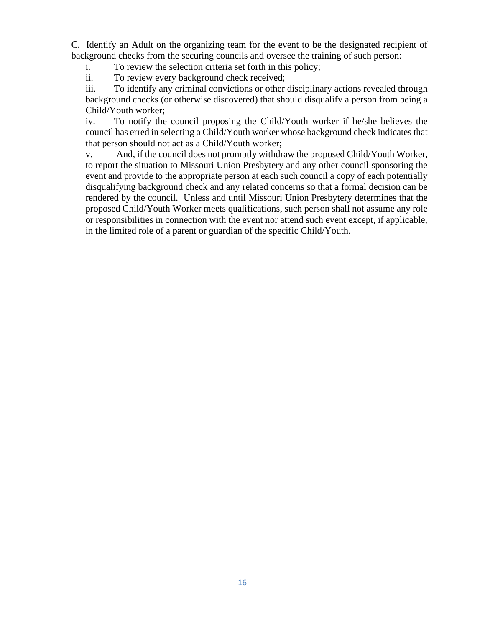C. Identify an Adult on the organizing team for the event to be the designated recipient of background checks from the securing councils and oversee the training of such person:

i. To review the selection criteria set forth in this policy;

ii. To review every background check received;

iii. To identify any criminal convictions or other disciplinary actions revealed through background checks (or otherwise discovered) that should disqualify a person from being a Child/Youth worker;

iv. To notify the council proposing the Child/Youth worker if he/she believes the council has erred in selecting a Child/Youth worker whose background check indicates that that person should not act as a Child/Youth worker;

v. And, if the council does not promptly withdraw the proposed Child/Youth Worker, to report the situation to Missouri Union Presbytery and any other council sponsoring the event and provide to the appropriate person at each such council a copy of each potentially disqualifying background check and any related concerns so that a formal decision can be rendered by the council. Unless and until Missouri Union Presbytery determines that the proposed Child/Youth Worker meets qualifications, such person shall not assume any role or responsibilities in connection with the event nor attend such event except, if applicable, in the limited role of a parent or guardian of the specific Child/Youth.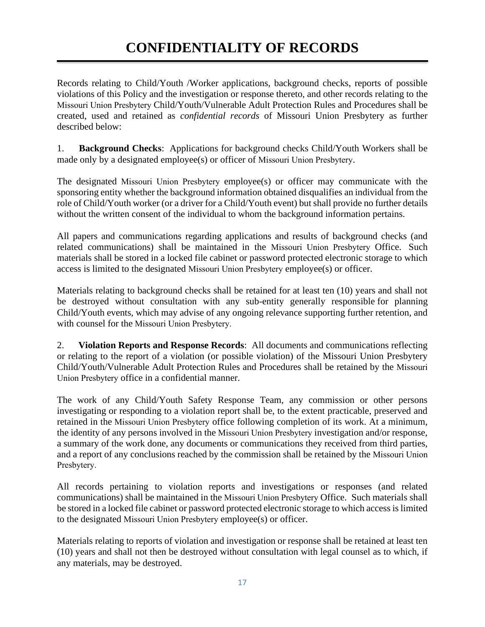Records relating to Child/Youth /Worker applications, background checks, reports of possible violations of this Policy and the investigation or response thereto, and other records relating to the Missouri Union Presbytery Child/Youth/Vulnerable Adult Protection Rules and Procedures shall be created, used and retained as *confidential records* of Missouri Union Presbytery as further described below:

1. **Background Checks**: Applications for background checks Child/Youth Workers shall be made only by a designated employee(s) or officer of Missouri Union Presbytery.

The designated Missouri Union Presbytery employee(s) or officer may communicate with the sponsoring entity whether the background information obtained disqualifies an individual from the role of Child/Youth worker (or a driver for a Child/Youth event) but shall provide no further details without the written consent of the individual to whom the background information pertains.

All papers and communications regarding applications and results of background checks (and related communications) shall be maintained in the Missouri Union Presbytery Office. Such materials shall be stored in a locked file cabinet or password protected electronic storage to which access is limited to the designated Missouri Union Presbytery employee(s) or officer.

Materials relating to background checks shall be retained for at least ten (10) years and shall not be destroyed without consultation with any sub-entity generally responsible for planning Child/Youth events, which may advise of any ongoing relevance supporting further retention, and with counsel for the Missouri Union Presbytery.

2. **Violation Reports and Response Records**: All documents and communications reflecting or relating to the report of a violation (or possible violation) of the Missouri Union Presbytery Child/Youth/Vulnerable Adult Protection Rules and Procedures shall be retained by the Missouri Union Presbytery office in a confidential manner.

The work of any Child/Youth Safety Response Team, any commission or other persons investigating or responding to a violation report shall be, to the extent practicable, preserved and retained in the Missouri Union Presbytery office following completion of its work. At a minimum, the identity of any persons involved in the Missouri Union Presbytery investigation and/or response, a summary of the work done, any documents or communications they received from third parties, and a report of any conclusions reached by the commission shall be retained by the Missouri Union Presbytery.

All records pertaining to violation reports and investigations or responses (and related communications) shall be maintained in the Missouri Union Presbytery Office. Such materials shall be stored in a locked file cabinet or password protected electronic storage to which access is limited to the designated Missouri Union Presbytery employee(s) or officer.

Materials relating to reports of violation and investigation or response shall be retained at least ten (10) years and shall not then be destroyed without consultation with legal counsel as to which, if any materials, may be destroyed.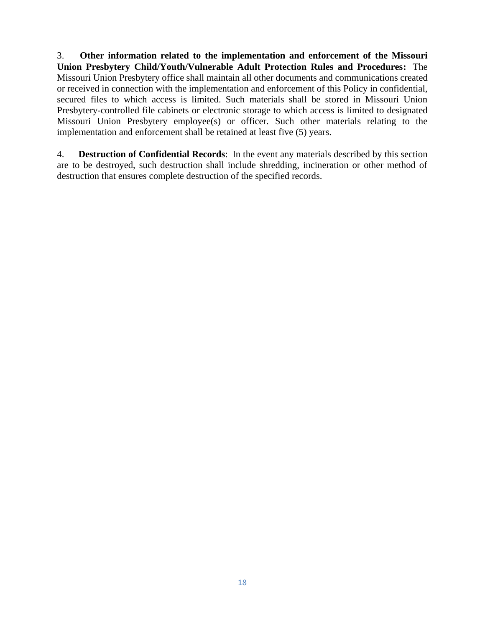3. **Other information related to the implementation and enforcement of the Missouri Union Presbytery Child/Youth/Vulnerable Adult Protection Rules and Procedures:** The Missouri Union Presbytery office shall maintain all other documents and communications created or received in connection with the implementation and enforcement of this Policy in confidential, secured files to which access is limited. Such materials shall be stored in Missouri Union Presbytery-controlled file cabinets or electronic storage to which access is limited to designated Missouri Union Presbytery employee(s) or officer. Such other materials relating to the implementation and enforcement shall be retained at least five (5) years.

4. **Destruction of Confidential Records**: In the event any materials described by this section are to be destroyed, such destruction shall include shredding, incineration or other method of destruction that ensures complete destruction of the specified records.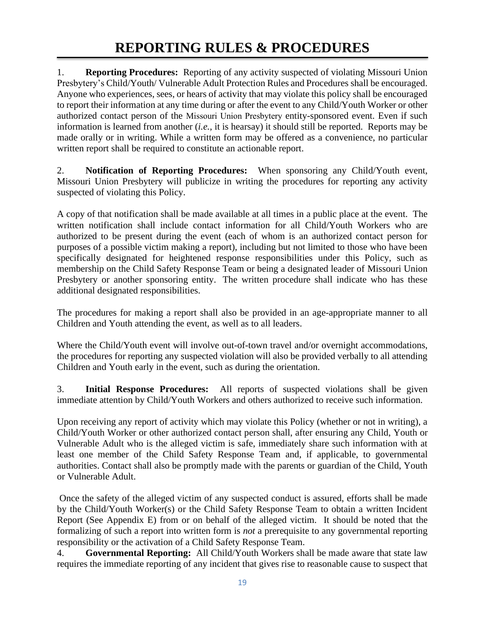1. **Reporting Procedures:** Reporting of any activity suspected of violating Missouri Union Presbytery's Child/Youth/ Vulnerable Adult Protection Rules and Procedures shall be encouraged. Anyone who experiences, sees, or hears of activity that may violate this policy shall be encouraged to report their information at any time during or after the event to any Child/Youth Worker or other authorized contact person of the Missouri Union Presbytery entity-sponsored event. Even if such information is learned from another (*i.e.,* it is hearsay) it should still be reported. Reports may be made orally or in writing. While a written form may be offered as a convenience, no particular written report shall be required to constitute an actionable report.

2. **Notification of Reporting Procedures:** When sponsoring any Child/Youth event, Missouri Union Presbytery will publicize in writing the procedures for reporting any activity suspected of violating this Policy.

A copy of that notification shall be made available at all times in a public place at the event. The written notification shall include contact information for all Child/Youth Workers who are authorized to be present during the event (each of whom is an authorized contact person for purposes of a possible victim making a report), including but not limited to those who have been specifically designated for heightened response responsibilities under this Policy, such as membership on the Child Safety Response Team or being a designated leader of Missouri Union Presbytery or another sponsoring entity. The written procedure shall indicate who has these additional designated responsibilities.

The procedures for making a report shall also be provided in an age-appropriate manner to all Children and Youth attending the event, as well as to all leaders.

Where the Child/Youth event will involve out-of-town travel and/or overnight accommodations, the procedures for reporting any suspected violation will also be provided verbally to all attending Children and Youth early in the event, such as during the orientation.

3. **Initial Response Procedures:** All reports of suspected violations shall be given immediate attention by Child/Youth Workers and others authorized to receive such information.

Upon receiving any report of activity which may violate this Policy (whether or not in writing), a Child/Youth Worker or other authorized contact person shall, after ensuring any Child, Youth or Vulnerable Adult who is the alleged victim is safe, immediately share such information with at least one member of the Child Safety Response Team and, if applicable, to governmental authorities. Contact shall also be promptly made with the parents or guardian of the Child, Youth or Vulnerable Adult.

Once the safety of the alleged victim of any suspected conduct is assured, efforts shall be made by the Child/Youth Worker(s) or the Child Safety Response Team to obtain a written Incident Report (See Appendix E) from or on behalf of the alleged victim. It should be noted that the formalizing of such a report into written form is *not* a prerequisite to any governmental reporting responsibility or the activation of a Child Safety Response Team.

4. **Governmental Reporting:** All Child/Youth Workers shall be made aware that state law requires the immediate reporting of any incident that gives rise to reasonable cause to suspect that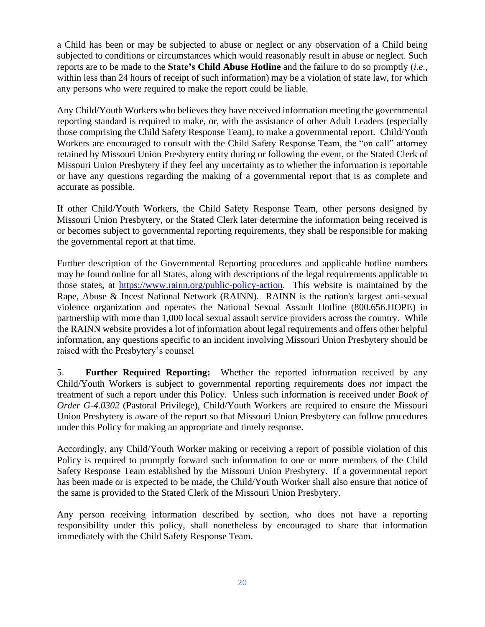a Child has been or may be subjected to abuse or neglect or any observation of a Child being subjected to conditions or circumstances which would reasonably result in abuse or neglect. Such reports are to be made to the **State's Child Abuse Hotline** and the failure to do so promptly (*i.e.,* within less than 24 hours of receipt of such information) may be a violation of state law, for which any persons who were required to make the report could be liable.

Any Child/Youth Workers who believes they have received information meeting the governmental reporting standard is required to make, or, with the assistance of other Adult Leaders (especially those comprising the Child Safety Response Team), to make a governmental report. Child/Youth Workers are encouraged to consult with the Child Safety Response Team, the "on call" attorney retained by Missouri Union Presbytery entity during or following the event, or the Stated Clerk of Missouri Union Presbytery if they feel any uncertainty as to whether the information is reportable or have any questions regarding the making of a governmental report that is as complete and accurate as possible.

If other Child/Youth Workers, the Child Safety Response Team, other persons designed by Missouri Union Presbytery, or the Stated Clerk later determine the information being received is or becomes subject to governmental reporting requirements, they shall be responsible for making the governmental report at that time.

Further description of the Governmental Reporting procedures and applicable hotline numbers may be found online for all States, along with descriptions of the legal requirements applicable to those states, at [https://www.rainn.org/public-policy-action.](https://www.rainn.org/public-policy-action) This website is maintained by the Rape, Abuse & Incest National Network (RAINN). RAINN is the nation's largest anti-sexual violence organization and operates the National Sexual Assault Hotline (800.656.HOPE) in partnership with more than 1,000 local sexual assault service providers across the country. While the RAINN website provides a lot of information about legal requirements and offers other helpful information, any questions specific to an incident involving Missouri Union Presbytery should be raised with the Presbytery's counsel

5. **Further Required Reporting:** Whether the reported information received by any Child/Youth Workers is subject to governmental reporting requirements does *not* impact the treatment of such a report under this Policy. Unless such information is received under *Book of Order G-4.0302* (Pastoral Privilege), Child/Youth Workers are required to ensure the Missouri Union Presbytery is aware of the report so that Missouri Union Presbytery can follow procedures under this Policy for making an appropriate and timely response.

Accordingly, any Child/Youth Worker making or receiving a report of possible violation of this Policy is required to promptly forward such information to one or more members of the Child Safety Response Team established by the Missouri Union Presbytery. If a governmental report has been made or is expected to be made, the Child/Youth Worker shall also ensure that notice of the same is provided to the Stated Clerk of the Missouri Union Presbytery.

Any person receiving information described by section, who does not have a reporting responsibility under this policy, shall nonetheless by encouraged to share that information immediately with the Child Safety Response Team.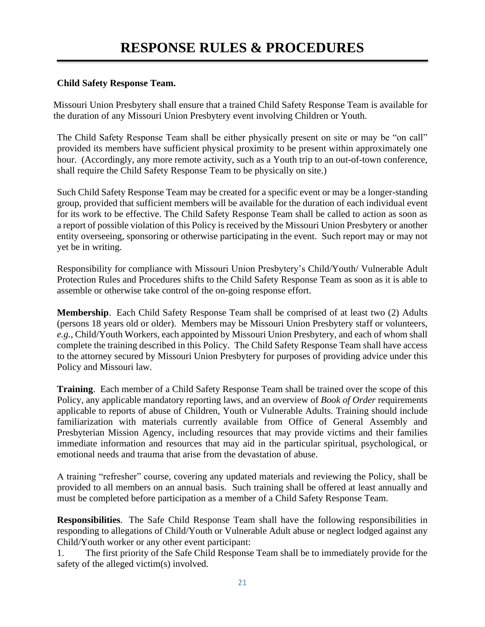### **Child Safety Response Team.**

Missouri Union Presbytery shall ensure that a trained Child Safety Response Team is available for the duration of any Missouri Union Presbytery event involving Children or Youth.

The Child Safety Response Team shall be either physically present on site or may be "on call" provided its members have sufficient physical proximity to be present within approximately one hour. (Accordingly, any more remote activity, such as a Youth trip to an out-of-town conference, shall require the Child Safety Response Team to be physically on site.)

Such Child Safety Response Team may be created for a specific event or may be a longer-standing group, provided that sufficient members will be available for the duration of each individual event for its work to be effective. The Child Safety Response Team shall be called to action as soon as a report of possible violation of this Policy is received by the Missouri Union Presbytery or another entity overseeing, sponsoring or otherwise participating in the event. Such report may or may not yet be in writing.

Responsibility for compliance with Missouri Union Presbytery's Child/Youth/ Vulnerable Adult Protection Rules and Procedures shifts to the Child Safety Response Team as soon as it is able to assemble or otherwise take control of the on-going response effort.

**Membership**. Each Child Safety Response Team shall be comprised of at least two (2) Adults (persons 18 years old or older). Members may be Missouri Union Presbytery staff or volunteers, *e.g.,* Child/Youth Workers, each appointed by Missouri Union Presbytery, and each of whom shall complete the training described in this Policy. The Child Safety Response Team shall have access to the attorney secured by Missouri Union Presbytery for purposes of providing advice under this Policy and Missouri law.

**Training**. Each member of a Child Safety Response Team shall be trained over the scope of this Policy, any applicable mandatory reporting laws, and an overview of *Book of Order* requirements applicable to reports of abuse of Children, Youth or Vulnerable Adults. Training should include familiarization with materials currently available from Office of General Assembly and Presbyterian Mission Agency, including resources that may provide victims and their families immediate information and resources that may aid in the particular spiritual, psychological, or emotional needs and trauma that arise from the devastation of abuse.

A training "refresher" course, covering any updated materials and reviewing the Policy, shall be provided to all members on an annual basis. Such training shall be offered at least annually and must be completed before participation as a member of a Child Safety Response Team.

**Responsibilities**. The Safe Child Response Team shall have the following responsibilities in responding to allegations of Child/Youth or Vulnerable Adult abuse or neglect lodged against any Child/Youth worker or any other event participant:

1. The first priority of the Safe Child Response Team shall be to immediately provide for the safety of the alleged victim(s) involved.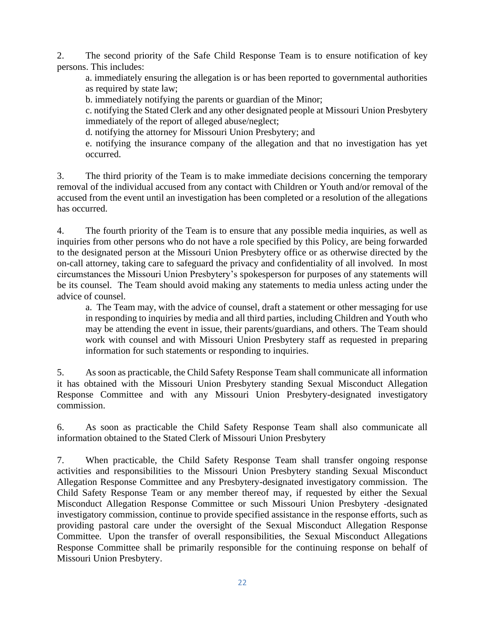2. The second priority of the Safe Child Response Team is to ensure notification of key persons. This includes:

a. immediately ensuring the allegation is or has been reported to governmental authorities as required by state law;

b. immediately notifying the parents or guardian of the Minor;

c. notifying the Stated Clerk and any other designated people at Missouri Union Presbytery immediately of the report of alleged abuse/neglect;

d. notifying the attorney for Missouri Union Presbytery; and

e. notifying the insurance company of the allegation and that no investigation has yet occurred.

3. The third priority of the Team is to make immediate decisions concerning the temporary removal of the individual accused from any contact with Children or Youth and/or removal of the accused from the event until an investigation has been completed or a resolution of the allegations has occurred.

4. The fourth priority of the Team is to ensure that any possible media inquiries, as well as inquiries from other persons who do not have a role specified by this Policy, are being forwarded to the designated person at the Missouri Union Presbytery office or as otherwise directed by the on-call attorney, taking care to safeguard the privacy and confidentiality of all involved. In most circumstances the Missouri Union Presbytery's spokesperson for purposes of any statements will be its counsel. The Team should avoid making any statements to media unless acting under the advice of counsel.

a. The Team may, with the advice of counsel, draft a statement or other messaging for use in responding to inquiries by media and all third parties, including Children and Youth who may be attending the event in issue, their parents/guardians, and others. The Team should work with counsel and with Missouri Union Presbytery staff as requested in preparing information for such statements or responding to inquiries.

5. As soon as practicable, the Child Safety Response Team shall communicate all information it has obtained with the Missouri Union Presbytery standing Sexual Misconduct Allegation Response Committee and with any Missouri Union Presbytery-designated investigatory commission.

6. As soon as practicable the Child Safety Response Team shall also communicate all information obtained to the Stated Clerk of Missouri Union Presbytery

7. When practicable, the Child Safety Response Team shall transfer ongoing response activities and responsibilities to the Missouri Union Presbytery standing Sexual Misconduct Allegation Response Committee and any Presbytery-designated investigatory commission. The Child Safety Response Team or any member thereof may, if requested by either the Sexual Misconduct Allegation Response Committee or such Missouri Union Presbytery -designated investigatory commission, continue to provide specified assistance in the response efforts, such as providing pastoral care under the oversight of the Sexual Misconduct Allegation Response Committee. Upon the transfer of overall responsibilities, the Sexual Misconduct Allegations Response Committee shall be primarily responsible for the continuing response on behalf of Missouri Union Presbytery.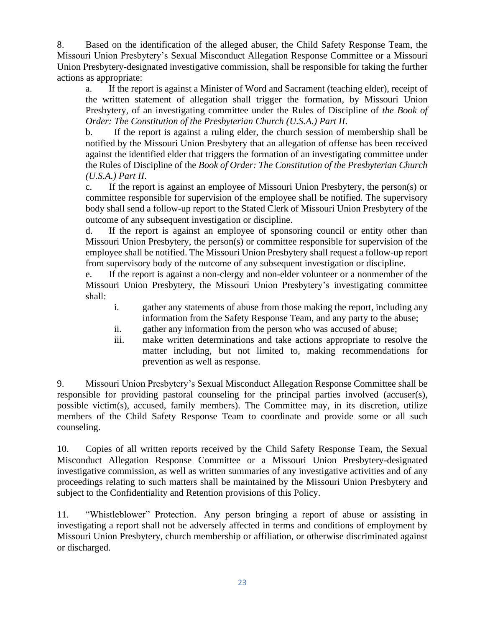8. Based on the identification of the alleged abuser, the Child Safety Response Team, the Missouri Union Presbytery's Sexual Misconduct Allegation Response Committee or a Missouri Union Presbytery-designated investigative commission, shall be responsible for taking the further actions as appropriate:

a. If the report is against a Minister of Word and Sacrament (teaching elder), receipt of the written statement of allegation shall trigger the formation, by Missouri Union Presbytery, of an investigating committee under the Rules of Discipline of *the Book of Order: The Constitution of the Presbyterian Church (U.S.A.) Part II*.

b. If the report is against a ruling elder, the church session of membership shall be notified by the Missouri Union Presbytery that an allegation of offense has been received against the identified elder that triggers the formation of an investigating committee under the Rules of Discipline of the *Book of Order: The Constitution of the Presbyterian Church (U.S.A.) Part II*.

c. If the report is against an employee of Missouri Union Presbytery, the person(s) or committee responsible for supervision of the employee shall be notified. The supervisory body shall send a follow-up report to the Stated Clerk of Missouri Union Presbytery of the outcome of any subsequent investigation or discipline.

d. If the report is against an employee of sponsoring council or entity other than Missouri Union Presbytery, the person(s) or committee responsible for supervision of the employee shall be notified. The Missouri Union Presbytery shall request a follow-up report from supervisory body of the outcome of any subsequent investigation or discipline.

e. If the report is against a non-clergy and non-elder volunteer or a nonmember of the Missouri Union Presbytery, the Missouri Union Presbytery's investigating committee shall:

- i. gather any statements of abuse from those making the report, including any information from the Safety Response Team, and any party to the abuse;
- ii. gather any information from the person who was accused of abuse;
- iii. make written determinations and take actions appropriate to resolve the matter including, but not limited to, making recommendations for prevention as well as response.

9. Missouri Union Presbytery's Sexual Misconduct Allegation Response Committee shall be responsible for providing pastoral counseling for the principal parties involved (accuser(s), possible victim(s), accused, family members). The Committee may, in its discretion, utilize members of the Child Safety Response Team to coordinate and provide some or all such counseling.

10. Copies of all written reports received by the Child Safety Response Team, the Sexual Misconduct Allegation Response Committee or a Missouri Union Presbytery-designated investigative commission, as well as written summaries of any investigative activities and of any proceedings relating to such matters shall be maintained by the Missouri Union Presbytery and subject to the Confidentiality and Retention provisions of this Policy.

11. "Whistleblower" Protection. Any person bringing a report of abuse or assisting in investigating a report shall not be adversely affected in terms and conditions of employment by Missouri Union Presbytery, church membership or affiliation, or otherwise discriminated against or discharged.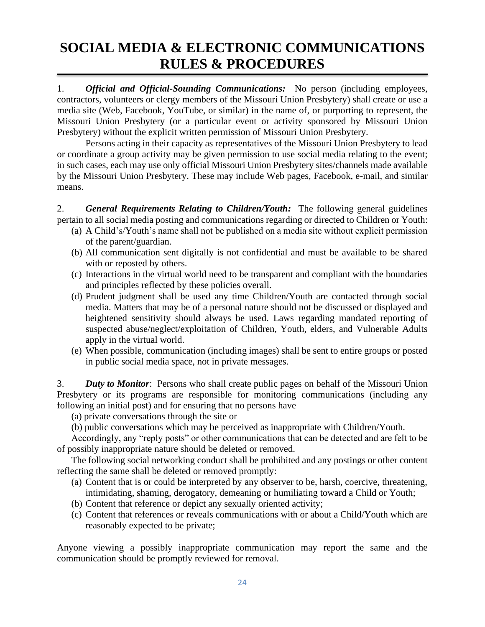# **SOCIAL MEDIA & ELECTRONIC COMMUNICATIONS RULES & PROCEDURES**

1. *Official and Official-Sounding Communications:* No person (including employees, contractors, volunteers or clergy members of the Missouri Union Presbytery) shall create or use a media site (Web, Facebook, YouTube, or similar) in the name of, or purporting to represent, the Missouri Union Presbytery (or a particular event or activity sponsored by Missouri Union Presbytery) without the explicit written permission of Missouri Union Presbytery.

Persons acting in their capacity as representatives of the Missouri Union Presbytery to lead or coordinate a group activity may be given permission to use social media relating to the event; in such cases, each may use only official Missouri Union Presbytery sites/channels made available by the Missouri Union Presbytery. These may include Web pages, Facebook, e-mail, and similar means.

2. *General Requirements Relating to Children/Youth:* The following general guidelines pertain to all social media posting and communications regarding or directed to Children or Youth:

- (a) A Child's/Youth's name shall not be published on a media site without explicit permission of the parent/guardian.
- (b) All communication sent digitally is not confidential and must be available to be shared with or reposted by others.
- (c) Interactions in the virtual world need to be transparent and compliant with the boundaries and principles reflected by these policies overall.
- (d) Prudent judgment shall be used any time Children/Youth are contacted through social media. Matters that may be of a personal nature should not be discussed or displayed and heightened sensitivity should always be used. Laws regarding mandated reporting of suspected abuse/neglect/exploitation of Children, Youth, elders, and Vulnerable Adults apply in the virtual world.
- (e) When possible, communication (including images) shall be sent to entire groups or posted in public social media space, not in private messages.

3. *Duty to Monitor*: Persons who shall create public pages on behalf of the Missouri Union Presbytery or its programs are responsible for monitoring communications (including any following an initial post) and for ensuring that no persons have

(a) private conversations through the site or

(b) public conversations which may be perceived as inappropriate with Children/Youth.

Accordingly, any "reply posts" or other communications that can be detected and are felt to be of possibly inappropriate nature should be deleted or removed.

The following social networking conduct shall be prohibited and any postings or other content reflecting the same shall be deleted or removed promptly:

- (a) Content that is or could be interpreted by any observer to be, harsh, coercive, threatening, intimidating, shaming, derogatory, demeaning or humiliating toward a Child or Youth;
- (b) Content that reference or depict any sexually oriented activity;
- (c) Content that references or reveals communications with or about a Child/Youth which are reasonably expected to be private;

Anyone viewing a possibly inappropriate communication may report the same and the communication should be promptly reviewed for removal.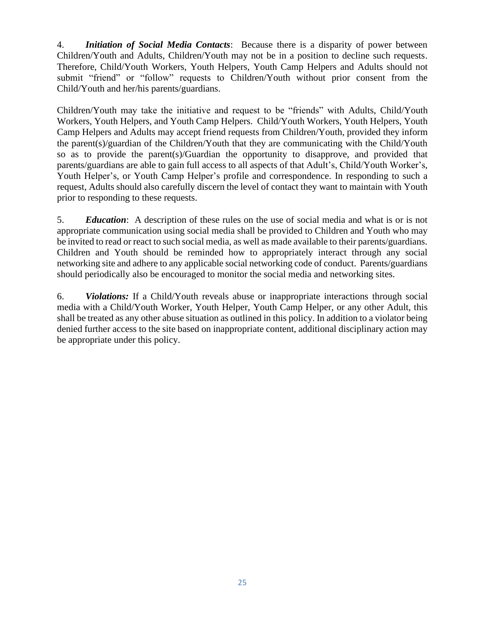4. *Initiation of Social Media Contacts*: Because there is a disparity of power between Children/Youth and Adults, Children/Youth may not be in a position to decline such requests. Therefore, Child/Youth Workers, Youth Helpers, Youth Camp Helpers and Adults should not submit "friend" or "follow" requests to Children/Youth without prior consent from the Child/Youth and her/his parents/guardians.

Children/Youth may take the initiative and request to be "friends" with Adults, Child/Youth Workers, Youth Helpers, and Youth Camp Helpers. Child/Youth Workers, Youth Helpers, Youth Camp Helpers and Adults may accept friend requests from Children/Youth, provided they inform the parent(s)/guardian of the Children/Youth that they are communicating with the Child/Youth so as to provide the parent(s)/Guardian the opportunity to disapprove, and provided that parents/guardians are able to gain full access to all aspects of that Adult's, Child/Youth Worker's, Youth Helper's, or Youth Camp Helper's profile and correspondence. In responding to such a request, Adults should also carefully discern the level of contact they want to maintain with Youth prior to responding to these requests.

5. *Education*: A description of these rules on the use of social media and what is or is not appropriate communication using social media shall be provided to Children and Youth who may be invited to read or react to such social media, as well as made available to their parents/guardians. Children and Youth should be reminded how to appropriately interact through any social networking site and adhere to any applicable social networking code of conduct. Parents/guardians should periodically also be encouraged to monitor the social media and networking sites.

6. *Violations:* If a Child/Youth reveals abuse or inappropriate interactions through social media with a Child/Youth Worker, Youth Helper, Youth Camp Helper, or any other Adult, this shall be treated as any other abuse situation as outlined in this policy. In addition to a violator being denied further access to the site based on inappropriate content, additional disciplinary action may be appropriate under this policy.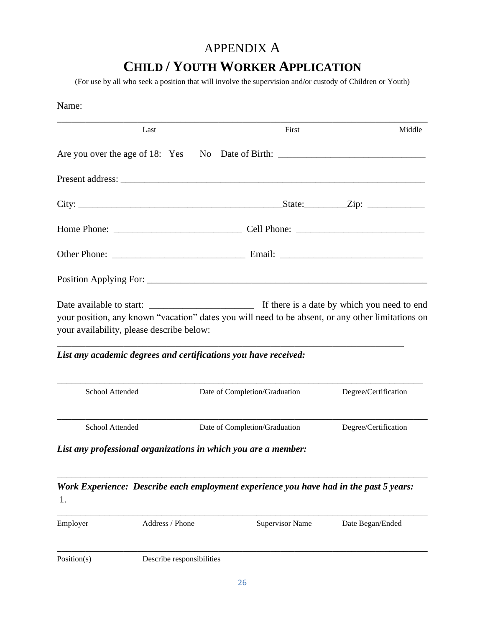## APPENDIX A

# **CHILD / YOUTH WORKER APPLICATION**

(For use by all who seek a position that will involve the supervision and/or custody of Children or Youth)

| Name:           |                                           |                                                                                                                                                                      |                      |
|-----------------|-------------------------------------------|----------------------------------------------------------------------------------------------------------------------------------------------------------------------|----------------------|
|                 | Last                                      | First                                                                                                                                                                | Middle               |
|                 |                                           |                                                                                                                                                                      |                      |
|                 |                                           |                                                                                                                                                                      |                      |
|                 |                                           |                                                                                                                                                                      |                      |
|                 |                                           |                                                                                                                                                                      |                      |
|                 |                                           |                                                                                                                                                                      |                      |
|                 |                                           |                                                                                                                                                                      |                      |
|                 | your availability, please describe below: | your position, any known "vacation" dates you will need to be absent, or any other limitations on<br>List any academic degrees and certifications you have received: |                      |
| School Attended |                                           | Date of Completion/Graduation                                                                                                                                        | Degree/Certification |
| School Attended |                                           | Date of Completion/Graduation                                                                                                                                        | Degree/Certification |
|                 |                                           | List any professional organizations in which you are a member:                                                                                                       |                      |
| 1.              |                                           | Work Experience: Describe each employment experience you have had in the past 5 years:                                                                               |                      |
| Employer        | Address / Phone                           | <b>Supervisor Name</b>                                                                                                                                               | Date Began/Ended     |

Position(s) Describe responsibilities

\_\_\_\_\_\_\_\_\_\_\_\_\_\_\_\_\_\_\_\_\_\_\_\_\_\_\_\_\_\_\_\_\_\_\_\_\_\_\_\_\_\_\_\_\_\_\_\_\_\_\_\_\_\_\_\_\_\_\_\_\_\_\_\_\_\_\_\_\_\_\_\_\_\_\_\_\_\_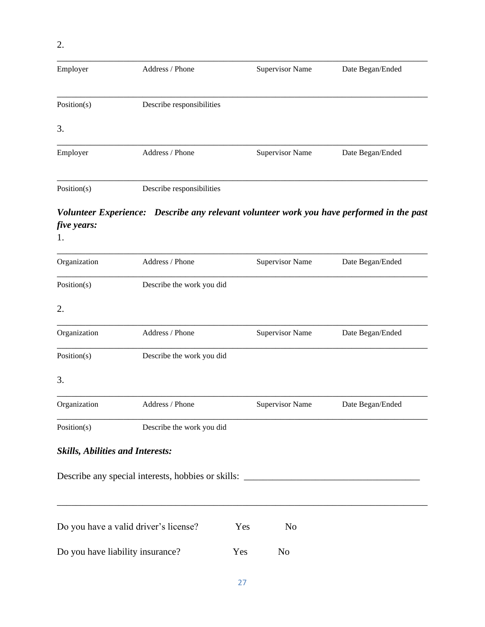## \_\_\_\_\_\_\_\_\_\_\_\_\_\_\_\_\_\_\_\_\_\_\_\_\_\_\_\_\_\_\_\_\_\_\_\_\_\_\_\_\_\_\_\_\_\_\_\_\_\_\_\_\_\_\_\_\_\_\_\_\_\_\_\_\_\_\_\_\_\_\_\_\_\_\_\_\_\_ Employer Address / Phone Supervisor Name Date Began/Ended \_\_\_\_\_\_\_\_\_\_\_\_\_\_\_\_\_\_\_\_\_\_\_\_\_\_\_\_\_\_\_\_\_\_\_\_\_\_\_\_\_\_\_\_\_\_\_\_\_\_\_\_\_\_\_\_\_\_\_\_\_\_\_\_\_\_\_\_\_\_\_\_\_\_\_\_\_\_ Position(s) Describe responsibilities 3. \_\_\_\_\_\_\_\_\_\_\_\_\_\_\_\_\_\_\_\_\_\_\_\_\_\_\_\_\_\_\_\_\_\_\_\_\_\_\_\_\_\_\_\_\_\_\_\_\_\_\_\_\_\_\_\_\_\_\_\_\_\_\_\_\_\_\_\_\_\_\_\_\_\_\_\_\_\_ Employer Address / Phone Supervisor Name Date Began/Ended \_\_\_\_\_\_\_\_\_\_\_\_\_\_\_\_\_\_\_\_\_\_\_\_\_\_\_\_\_\_\_\_\_\_\_\_\_\_\_\_\_\_\_\_\_\_\_\_\_\_\_\_\_\_\_\_\_\_\_\_\_\_\_\_\_\_\_\_\_\_\_\_\_\_\_\_\_\_ Position(s) Describe responsibilities

## *Volunteer Experience: Describe any relevant volunteer work you have performed in the past five years:*

1.

| Organization                            | Address / Phone                                    |     | <b>Supervisor Name</b> | Date Began/Ended |
|-----------------------------------------|----------------------------------------------------|-----|------------------------|------------------|
| Position(s)                             | Describe the work you did                          |     |                        |                  |
| 2.                                      |                                                    |     |                        |                  |
| Organization                            | Address / Phone                                    |     | <b>Supervisor Name</b> | Date Began/Ended |
| Position(s)                             | Describe the work you did                          |     |                        |                  |
| 3.                                      |                                                    |     |                        |                  |
| Organization                            | Address / Phone                                    |     | <b>Supervisor Name</b> | Date Began/Ended |
| Position(s)                             | Describe the work you did                          |     |                        |                  |
| <b>Skills, Abilities and Interests:</b> |                                                    |     |                        |                  |
|                                         | Describe any special interests, hobbies or skills: |     |                        |                  |
|                                         | Do you have a valid driver's license?              | Yes | N <sub>o</sub>         |                  |
| Do you have liability insurance?        |                                                    | Yes | N <sub>o</sub>         |                  |
|                                         |                                                    |     |                        |                  |

27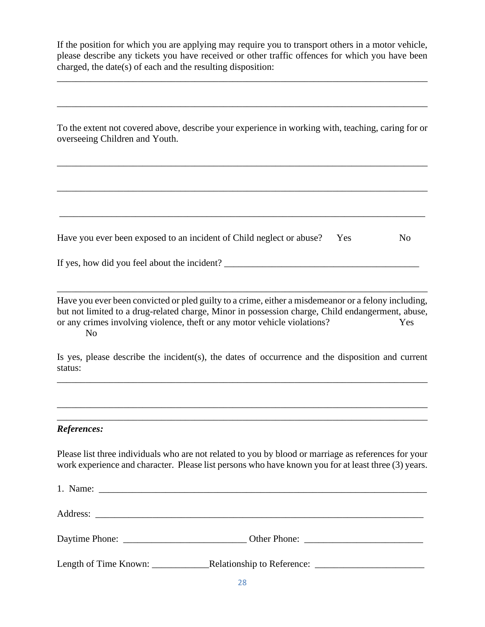If the position for which you are applying may require you to transport others in a motor vehicle, please describe any tickets you have received or other traffic offences for which you have been charged, the date(s) of each and the resulting disposition:

\_\_\_\_\_\_\_\_\_\_\_\_\_\_\_\_\_\_\_\_\_\_\_\_\_\_\_\_\_\_\_\_\_\_\_\_\_\_\_\_\_\_\_\_\_\_\_\_\_\_\_\_\_\_\_\_\_\_\_\_\_\_\_\_\_\_\_\_\_\_\_\_\_\_\_\_\_\_

\_\_\_\_\_\_\_\_\_\_\_\_\_\_\_\_\_\_\_\_\_\_\_\_\_\_\_\_\_\_\_\_\_\_\_\_\_\_\_\_\_\_\_\_\_\_\_\_\_\_\_\_\_\_\_\_\_\_\_\_\_\_\_\_\_\_\_\_\_\_\_\_\_\_\_\_\_\_

To the extent not covered above, describe your experience in working with, teaching, caring for or overseeing Children and Youth.

\_\_\_\_\_\_\_\_\_\_\_\_\_\_\_\_\_\_\_\_\_\_\_\_\_\_\_\_\_\_\_\_\_\_\_\_\_\_\_\_\_\_\_\_\_\_\_\_\_\_\_\_\_\_\_\_\_\_\_\_\_\_\_\_\_\_\_\_\_\_\_\_\_\_\_\_\_\_

\_\_\_\_\_\_\_\_\_\_\_\_\_\_\_\_\_\_\_\_\_\_\_\_\_\_\_\_\_\_\_\_\_\_\_\_\_\_\_\_\_\_\_\_\_\_\_\_\_\_\_\_\_\_\_\_\_\_\_\_\_\_\_\_\_\_\_\_\_\_\_\_\_\_\_\_\_\_

\_\_\_\_\_\_\_\_\_\_\_\_\_\_\_\_\_\_\_\_\_\_\_\_\_\_\_\_\_\_\_\_\_\_\_\_\_\_\_\_\_\_\_\_\_\_\_\_\_\_\_\_\_\_\_\_\_\_\_\_\_\_\_\_\_\_\_\_\_\_\_\_\_\_\_\_\_

| Have you ever been exposed to an incident of Child neglect or abuse? Yes |  | N <sub>0</sub> |
|--------------------------------------------------------------------------|--|----------------|
|--------------------------------------------------------------------------|--|----------------|

| If yes, how did you feel about the incident? |  |
|----------------------------------------------|--|
|                                              |  |

Have you ever been convicted or pled guilty to a crime, either a misdemeanor or a felony including, but not limited to a drug-related charge, Minor in possession charge, Child endangerment, abuse, or any crimes involving violence, theft or any motor vehicle violations? Yes No

\_\_\_\_\_\_\_\_\_\_\_\_\_\_\_\_\_\_\_\_\_\_\_\_\_\_\_\_\_\_\_\_\_\_\_\_\_\_\_\_\_\_\_\_\_\_\_\_\_\_\_\_\_\_\_\_\_\_\_\_\_\_\_\_\_\_\_\_\_\_\_\_\_\_\_\_\_\_

\_\_\_\_\_\_\_\_\_\_\_\_\_\_\_\_\_\_\_\_\_\_\_\_\_\_\_\_\_\_\_\_\_\_\_\_\_\_\_\_\_\_\_\_\_\_\_\_\_\_\_\_\_\_\_\_\_\_\_\_\_\_\_\_\_\_\_\_\_\_\_\_\_\_\_\_\_\_

\_\_\_\_\_\_\_\_\_\_\_\_\_\_\_\_\_\_\_\_\_\_\_\_\_\_\_\_\_\_\_\_\_\_\_\_\_\_\_\_\_\_\_\_\_\_\_\_\_\_\_\_\_\_\_\_\_\_\_\_\_\_\_\_\_\_\_\_\_\_\_\_\_\_\_\_\_\_

\_\_\_\_\_\_\_\_\_\_\_\_\_\_\_\_\_\_\_\_\_\_\_\_\_\_\_\_\_\_\_\_\_\_\_\_\_\_\_\_\_\_\_\_\_\_\_\_\_\_\_\_\_\_\_\_\_\_\_\_\_\_\_\_\_\_\_\_\_\_\_\_\_\_\_\_\_\_

Is yes, please describe the incident(s), the dates of occurrence and the disposition and current status:

### *References:*

Please list three individuals who are not related to you by blood or marriage as references for your work experience and character. Please list persons who have known you for at least three (3) years.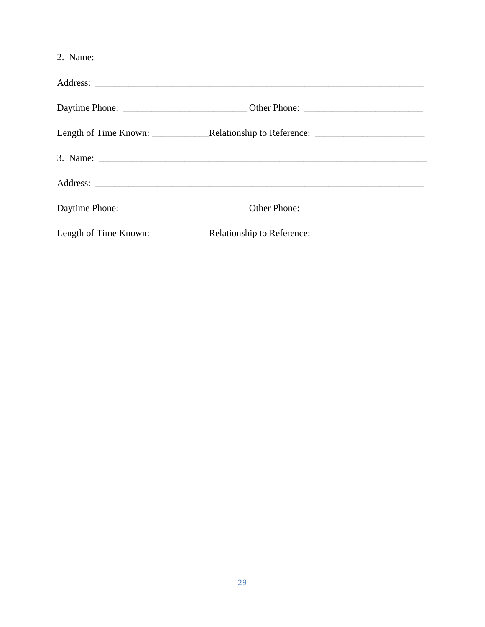| 2. Name: $\frac{1}{\sqrt{1-\frac{1}{2}}\sqrt{1-\frac{1}{2}}\sqrt{1-\frac{1}{2}}\sqrt{1-\frac{1}{2}}\sqrt{1-\frac{1}{2}}}}$ |  |
|----------------------------------------------------------------------------------------------------------------------------|--|
|                                                                                                                            |  |
|                                                                                                                            |  |
|                                                                                                                            |  |
|                                                                                                                            |  |
|                                                                                                                            |  |
|                                                                                                                            |  |
|                                                                                                                            |  |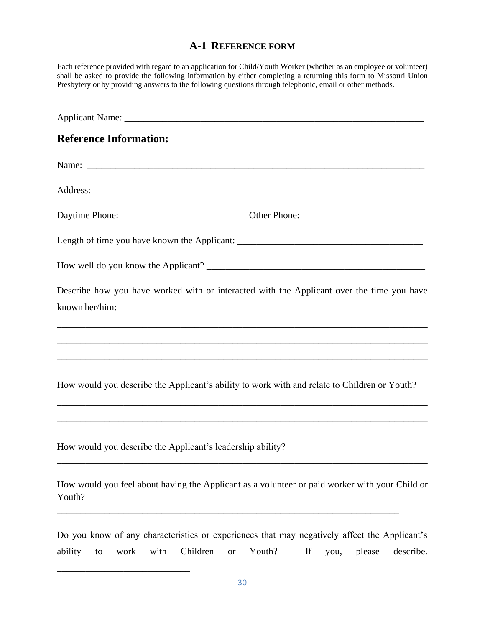## **A-1 REFERENCE FORM**

Each reference provided with regard to an application for Child/Youth Worker (whether as an employee or volunteer) shall be asked to provide the following information by either completing a returning this form to Missouri Union Presbytery or by providing answers to the following questions through telephonic, email or other methods.

| <b>Reference Information:</b>                                                                                                                                                                         |
|-------------------------------------------------------------------------------------------------------------------------------------------------------------------------------------------------------|
|                                                                                                                                                                                                       |
|                                                                                                                                                                                                       |
|                                                                                                                                                                                                       |
|                                                                                                                                                                                                       |
|                                                                                                                                                                                                       |
| Describe how you have worked with or interacted with the Applicant over the time you have<br>,我们也不能在这里的时候,我们也不能在这里的时候,我们也不能会在这里的时候,我们也不能会在这里的时候,我们也不能会在这里的时候,我们也不能会在这里的时候,我们也不                        |
| How would you describe the Applicant's ability to work with and relate to Children or Youth?                                                                                                          |
| How would you describe the Applicant's leadership ability?                                                                                                                                            |
| How would you feel about having the Applicant as a volunteer or paid worker with your Child or<br>Youth?                                                                                              |
| Do you know of any characteristics or experiences that may negatively affect the Applicant's<br>with<br>Children<br>Youth?<br>If<br>ability<br>describe.<br>work<br>please<br>you,<br>to<br><b>or</b> |

\_\_\_\_\_\_\_\_\_\_\_\_\_\_\_\_\_\_\_\_\_\_\_\_\_\_\_\_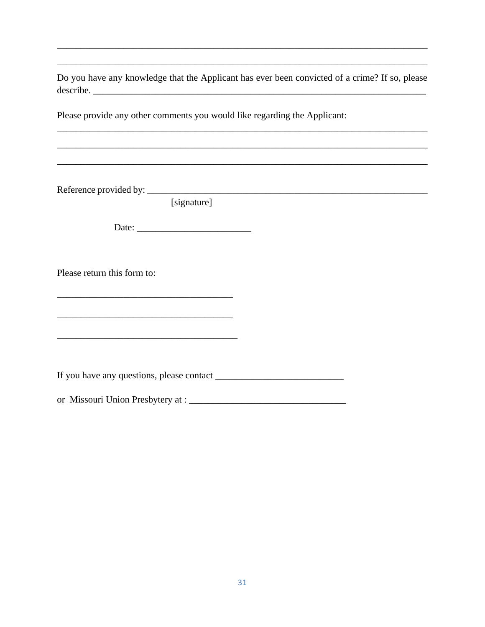Do you have any knowledge that the Applicant has ever been convicted of a crime? If so, please describe.

Please provide any other comments you would like regarding the Applicant:

[signature]

Please return this form to: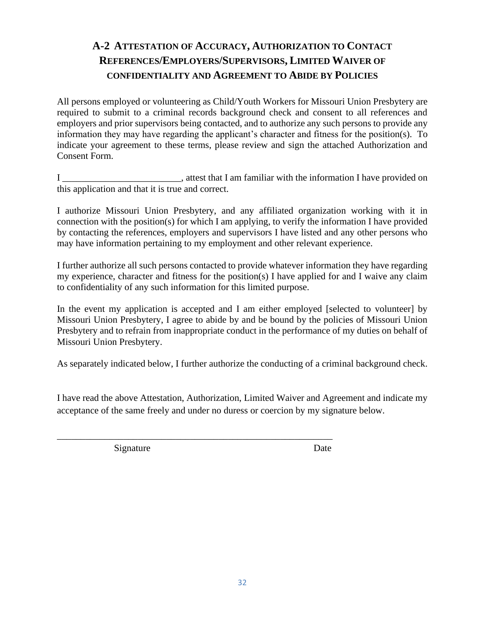## **A-2 ATTESTATION OF ACCURACY, AUTHORIZATION TO CONTACT REFERENCES/EMPLOYERS/SUPERVISORS, LIMITED WAIVER OF CONFIDENTIALITY AND AGREEMENT TO ABIDE BY POLICIES**

All persons employed or volunteering as Child/Youth Workers for Missouri Union Presbytery are required to submit to a criminal records background check and consent to all references and employers and prior supervisors being contacted, and to authorize any such persons to provide any information they may have regarding the applicant's character and fitness for the position(s). To indicate your agreement to these terms, please review and sign the attached Authorization and Consent Form.

I \_\_\_\_\_\_\_\_\_\_\_\_\_\_\_\_\_\_\_\_\_\_\_\_, attest that I am familiar with the information I have provided on this application and that it is true and correct.

I authorize Missouri Union Presbytery, and any affiliated organization working with it in connection with the position(s) for which I am applying, to verify the information I have provided by contacting the references, employers and supervisors I have listed and any other persons who may have information pertaining to my employment and other relevant experience.

I further authorize all such persons contacted to provide whatever information they have regarding my experience, character and fitness for the position(s) I have applied for and I waive any claim to confidentiality of any such information for this limited purpose.

In the event my application is accepted and I am either employed [selected to volunteer] by Missouri Union Presbytery, I agree to abide by and be bound by the policies of Missouri Union Presbytery and to refrain from inappropriate conduct in the performance of my duties on behalf of Missouri Union Presbytery.

As separately indicated below, I further authorize the conducting of a criminal background check.

I have read the above Attestation, Authorization, Limited Waiver and Agreement and indicate my acceptance of the same freely and under no duress or coercion by my signature below.

\_\_\_\_\_\_\_\_\_\_\_\_\_\_\_\_\_\_\_\_\_\_\_\_\_\_\_\_\_\_\_\_\_\_\_\_\_\_\_\_\_\_\_\_\_\_\_\_\_\_\_\_\_\_\_\_\_\_

Signature Date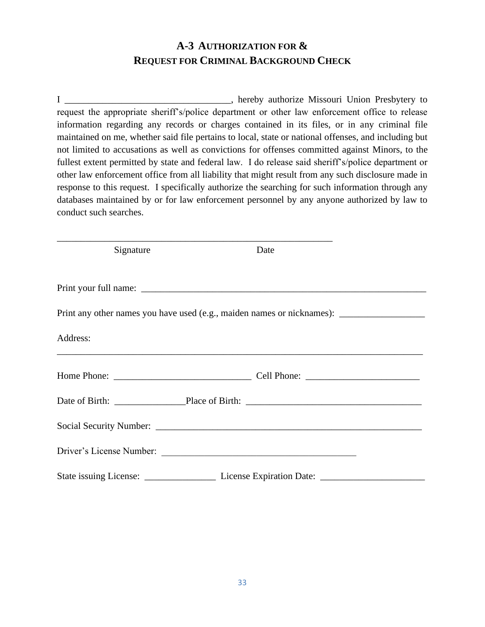## **A-3 AUTHORIZATION FOR & REQUEST FOR CRIMINAL BACKGROUND CHECK**

I \_\_\_\_\_\_\_\_\_\_\_\_\_\_\_\_\_\_\_\_\_\_\_\_\_\_\_\_\_\_\_\_\_\_\_, hereby authorize Missouri Union Presbytery to request the appropriate sheriff's/police department or other law enforcement office to release information regarding any records or charges contained in its files, or in any criminal file maintained on me, whether said file pertains to local, state or national offenses, and including but not limited to accusations as well as convictions for offenses committed against Minors, to the fullest extent permitted by state and federal law. I do release said sheriff's/police department or other law enforcement office from all liability that might result from any such disclosure made in response to this request. I specifically authorize the searching for such information through any databases maintained by or for law enforcement personnel by any anyone authorized by law to conduct such searches.

| Signature | Date |                                                                                                      |
|-----------|------|------------------------------------------------------------------------------------------------------|
|           |      |                                                                                                      |
|           |      | Print any other names you have used (e.g., maiden names or nicknames): _____________________________ |
| Address:  |      |                                                                                                      |
|           |      |                                                                                                      |
|           |      |                                                                                                      |
|           |      |                                                                                                      |
|           |      |                                                                                                      |
|           |      |                                                                                                      |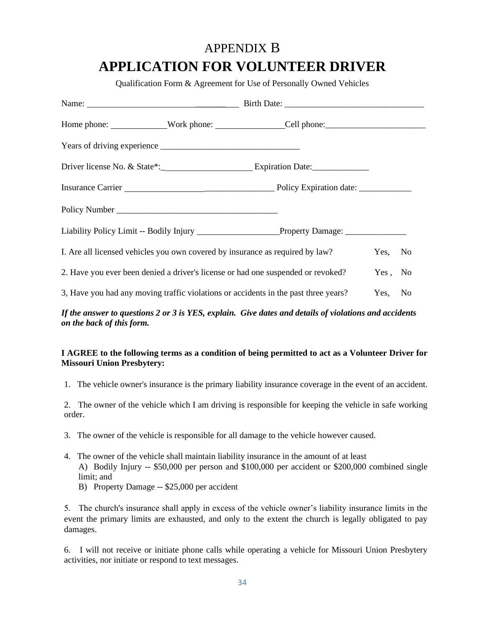## APPENDIX B

## **APPLICATION FOR VOLUNTEER DRIVER**

Qualification Form & Agreement for Use of Personally Owned Vehicles

|  | Insurance Carrier <b>Manual Community Contract Carrier Carrier Carrier Community Community Community Community Community Community Community Community Community Community Community Community Community Community Community Com</b> |         |  |
|--|--------------------------------------------------------------------------------------------------------------------------------------------------------------------------------------------------------------------------------------|---------|--|
|  |                                                                                                                                                                                                                                      |         |  |
|  |                                                                                                                                                                                                                                      |         |  |
|  | I. Are all licensed vehicles you own covered by insurance as required by law?                                                                                                                                                        | Yes, No |  |
|  | 2. Have you ever been denied a driver's license or had one suspended or revoked?                                                                                                                                                     | Yes, No |  |
|  | 3, Have you had any moving traffic violations or accidents in the past three years?                                                                                                                                                  | Yes, No |  |

*If the answer to questions 2 or 3 is YES, explain. Give dates and details of violations and accidents on the back of this form.*

#### **I AGREE to the following terms as a condition of being permitted to act as a Volunteer Driver for Missouri Union Presbytery:**

1. The vehicle owner's insurance is the primary liability insurance coverage in the event of an accident.

2. The owner of the vehicle which I am driving is responsible for keeping the vehicle in safe working order.

- 3. The owner of the vehicle is responsible for all damage to the vehicle however caused.
- 4. The owner of the vehicle shall maintain liability insurance in the amount of at least A) Bodily Injury -- \$50,000 per person and \$100,000 per accident or \$200,000 combined single limit; and
	- B) Property Damage -- \$25,000 per accident

5. The church's insurance shall apply in excess of the vehicle owner's liability insurance limits in the event the primary limits are exhausted, and only to the extent the church is legally obligated to pay damages.

6. I will not receive or initiate phone calls while operating a vehicle for Missouri Union Presbytery activities, nor initiate or respond to text messages.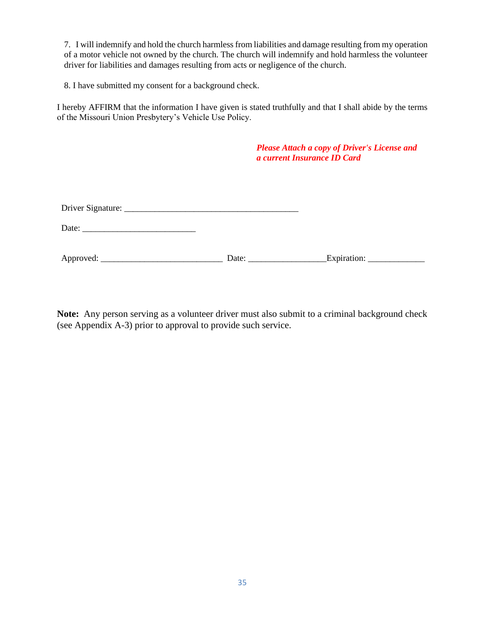7. I will indemnify and hold the church harmless from liabilities and damage resulting from my operation of a motor vehicle not owned by the church. The church will indemnify and hold harmless the volunteer driver for liabilities and damages resulting from acts or negligence of the church.

8. I have submitted my consent for a background check.

I hereby AFFIRM that the information I have given is stated truthfully and that I shall abide by the terms of the Missouri Union Presbytery's Vehicle Use Policy.

|                                                                                                                         |                       | <b>Please Attach a copy of Driver's License and</b><br>a current Insurance ID Card |  |
|-------------------------------------------------------------------------------------------------------------------------|-----------------------|------------------------------------------------------------------------------------|--|
|                                                                                                                         |                       |                                                                                    |  |
|                                                                                                                         |                       |                                                                                    |  |
| Date: $\frac{1}{\sqrt{1-\frac{1}{2}}\sqrt{1-\frac{1}{2}}\sqrt{1-\frac{1}{2}}\sqrt{1-\frac{1}{2}}\sqrt{1-\frac{1}{2}}}}$ |                       |                                                                                    |  |
|                                                                                                                         | Date: $\qquad \qquad$ |                                                                                    |  |

**Note:** Any person serving as a volunteer driver must also submit to a criminal background check (see Appendix A-3) prior to approval to provide such service.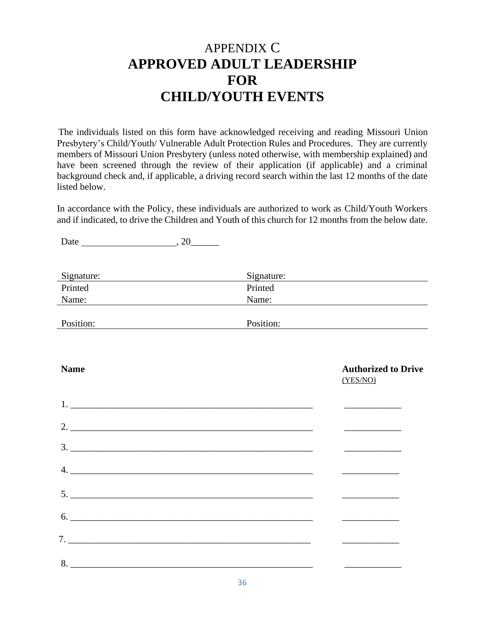## APPENDIX C **APPROVED ADULT LEADERSHIP FOR CHILD/YOUTH EVENTS**

The individuals listed on this form have acknowledged receiving and reading Missouri Union Presbytery's Child/Youth/ Vulnerable Adult Protection Rules and Procedures. They are currently members of Missouri Union Presbytery (unless noted otherwise, with membership explained) and have been screened through the review of their application (if applicable) and a criminal background check and, if applicable, a driving record search within the last 12 months of the date listed below.

In accordance with the Policy, these individuals are authorized to work as Child/Youth Workers and if indicated, to drive the Children and Youth of this church for 12 months from the below date.

| Signature:                    |                                                                                                 |           | Signature:                             |
|-------------------------------|-------------------------------------------------------------------------------------------------|-----------|----------------------------------------|
| Printed                       |                                                                                                 | Printed   |                                        |
| Name:                         | the contract of the contract of the contract of the contract of the contract of the contract of | Name:     |                                        |
| Position:                     |                                                                                                 | Position: |                                        |
|                               |                                                                                                 |           |                                        |
| <b>Name</b>                   |                                                                                                 |           | <b>Authorized to Drive</b><br>(YES/NO) |
|                               |                                                                                                 |           | and the control of the control of      |
|                               |                                                                                                 |           | the company of the company of          |
|                               |                                                                                                 | 3.        |                                        |
|                               |                                                                                                 |           |                                        |
|                               |                                                                                                 |           |                                        |
| 6.                            |                                                                                                 |           |                                        |
| $7.$ $\overline{\phantom{a}}$ |                                                                                                 |           |                                        |
|                               |                                                                                                 |           |                                        |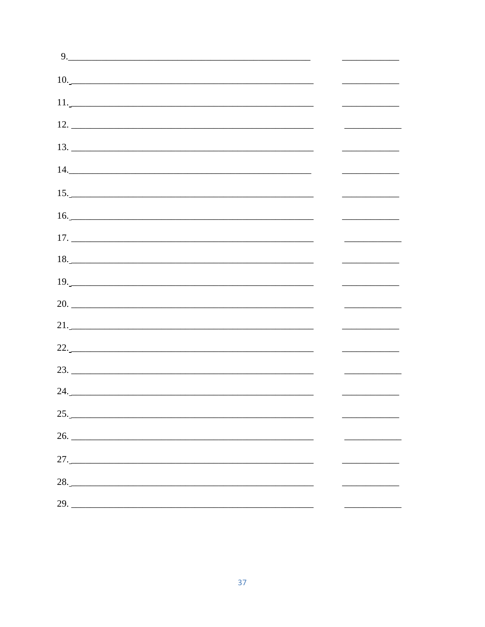| 9.                                             |  |
|------------------------------------------------|--|
| 10.                                            |  |
|                                                |  |
|                                                |  |
|                                                |  |
| 14.                                            |  |
| $\begin{array}{c}\n15. \\ \hline\n\end{array}$ |  |
| 16.                                            |  |
| $17. \_$                                       |  |
| 18.                                            |  |
| 19.                                            |  |
|                                                |  |
|                                                |  |
| $22.5$                                         |  |
|                                                |  |
|                                                |  |
| 25.                                            |  |
|                                                |  |
| 27.                                            |  |
| 28.                                            |  |
| 29.                                            |  |
|                                                |  |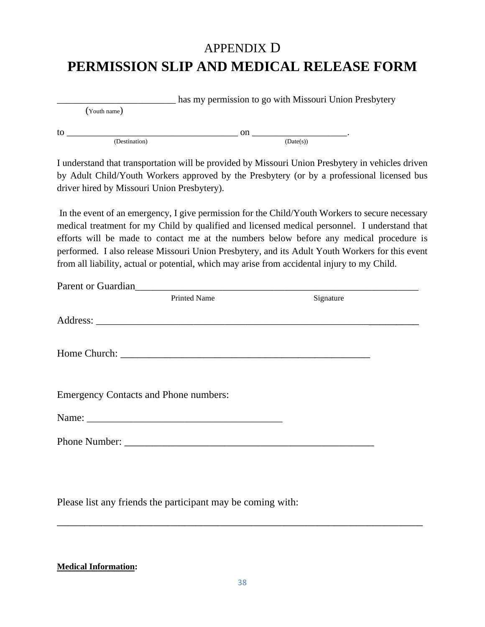# APPENDIX D **PERMISSION SLIP AND MEDICAL RELEASE FORM**

\_\_\_\_\_\_\_\_\_\_\_\_\_\_\_\_\_\_\_\_\_\_\_\_\_ has my permission to go with Missouri Union Presbytery

(Youth name)

to \_\_\_\_\_\_\_\_\_\_\_\_\_\_\_\_\_\_\_\_\_\_\_\_\_\_\_\_\_\_\_\_\_\_\_\_ on \_\_\_\_\_\_\_\_\_\_\_\_\_\_\_\_\_\_\_\_.  $(Destitution)$   $(Date(s))$ 

I understand that transportation will be provided by Missouri Union Presbytery in vehicles driven by Adult Child/Youth Workers approved by the Presbytery (or by a professional licensed bus driver hired by Missouri Union Presbytery).

In the event of an emergency, I give permission for the Child/Youth Workers to secure necessary medical treatment for my Child by qualified and licensed medical personnel. I understand that efforts will be made to contact me at the numbers below before any medical procedure is performed. I also release Missouri Union Presbytery, and its Adult Youth Workers for this event from all liability, actual or potential, which may arise from accidental injury to my Child.

| <b>Printed Name</b>                          | Signature |  |
|----------------------------------------------|-----------|--|
|                                              |           |  |
|                                              |           |  |
|                                              |           |  |
|                                              |           |  |
| <b>Emergency Contacts and Phone numbers:</b> |           |  |
|                                              |           |  |
|                                              |           |  |
|                                              |           |  |

Please list any friends the participant may be coming with:

**Medical Information:**

 $\overline{a_1}$  ,  $\overline{a_2}$  ,  $\overline{a_3}$  ,  $\overline{a_4}$  ,  $\overline{a_5}$  ,  $\overline{a_6}$  ,  $\overline{a_7}$  ,  $\overline{a_8}$  ,  $\overline{a_9}$  ,  $\overline{a_9}$  ,  $\overline{a_9}$  ,  $\overline{a_9}$  ,  $\overline{a_9}$  ,  $\overline{a_9}$  ,  $\overline{a_9}$  ,  $\overline{a_9}$  ,  $\overline{a_9}$  ,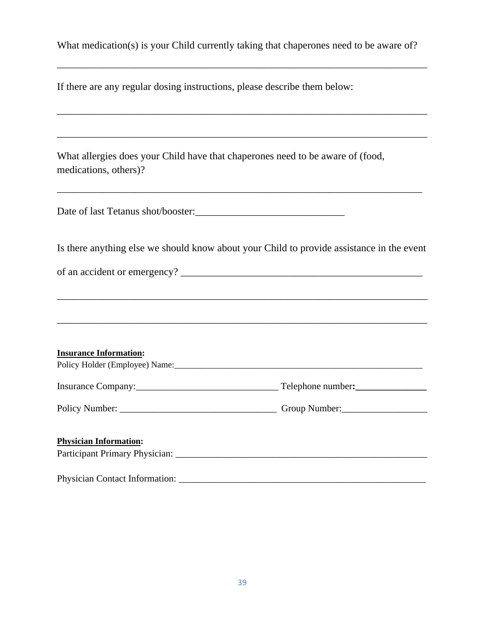What medication(s) is your Child currently taking that chaperones need to be aware of?

\_\_\_\_\_\_\_\_\_\_\_\_\_\_\_\_\_\_\_\_\_\_\_\_\_\_\_\_\_\_\_\_\_\_\_\_\_\_\_\_\_\_\_\_\_\_\_\_\_\_\_\_\_\_\_\_\_\_\_\_\_\_\_\_\_\_\_\_\_\_\_\_

\_\_\_\_\_\_\_\_\_\_\_\_\_\_\_\_\_\_\_\_\_\_\_\_\_\_\_\_\_\_\_\_\_\_\_\_\_\_\_\_\_\_\_\_\_\_\_\_\_\_\_\_\_\_\_\_\_\_\_\_\_\_\_\_\_\_\_\_\_\_\_\_

\_\_\_\_\_\_\_\_\_\_\_\_\_\_\_\_\_\_\_\_\_\_\_\_\_\_\_\_\_\_\_\_\_\_\_\_\_\_\_\_\_\_\_\_\_\_\_\_\_\_\_\_\_\_\_\_\_\_\_\_\_\_\_\_\_\_\_\_\_\_\_\_

| If there are any regular dosing instructions, please describe them below: |  |
|---------------------------------------------------------------------------|--|
|---------------------------------------------------------------------------|--|

What allergies does your Child have that chaperones need to be aware of (food, medications, others)?

Date of last Tetanus shot/booster:\_\_\_\_\_\_\_\_\_\_\_\_\_\_\_\_\_\_\_\_\_\_\_\_\_\_\_\_\_

Is there anything else we should know about your Child to provide assistance in the event

of an accident or emergency?

| <b>Insurance Information:</b> |                   |
|-------------------------------|-------------------|
|                               | Telephone number: |
|                               | Group Number:     |
|                               |                   |
| <b>Physician Information:</b> |                   |
|                               |                   |
|                               |                   |

Physician Contact Information: \_\_\_\_\_\_\_\_\_\_\_\_\_\_\_\_\_\_\_\_\_\_\_\_\_\_\_\_\_\_\_\_\_\_\_\_\_\_\_\_\_\_\_\_\_\_\_\_\_\_\_\_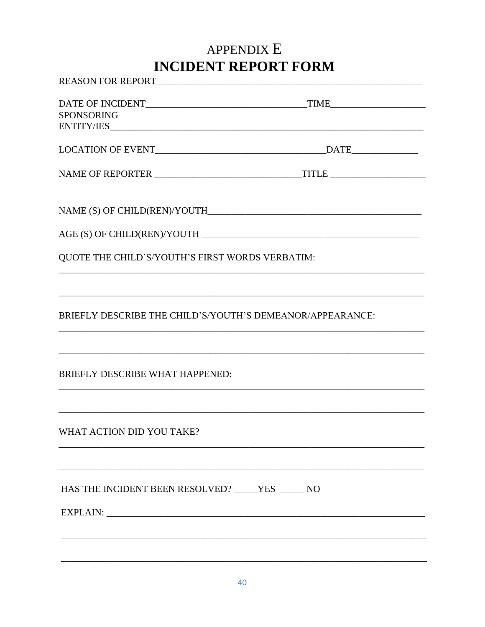# APPENDIX E **INCIDENT REPORT FORM**

| <b>SPONSORING</b>                                         |  |
|-----------------------------------------------------------|--|
|                                                           |  |
|                                                           |  |
|                                                           |  |
|                                                           |  |
|                                                           |  |
| QUOTE THE CHILD'S/YOUTH'S FIRST WORDS VERBATIM:           |  |
|                                                           |  |
| BRIEFLY DESCRIBE THE CHILD'S/YOUTH'S DEMEANOR/APPEARANCE: |  |
|                                                           |  |
| BRIEFLY DESCRIBE WHAT HAPPENED:                           |  |
|                                                           |  |
| WHAT ACTION DID YOU TAKE?                                 |  |
|                                                           |  |
| HAS THE INCIDENT BEEN RESOLVED? VES ______ NO             |  |
|                                                           |  |
|                                                           |  |
|                                                           |  |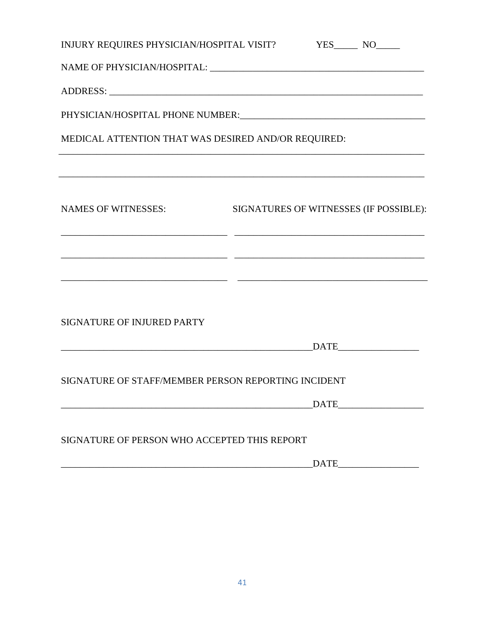| INJURY REQUIRES PHYSICIAN/HOSPITAL VISIT? YES______ NO_____ |                                                             |             |                                        |  |  |  |
|-------------------------------------------------------------|-------------------------------------------------------------|-------------|----------------------------------------|--|--|--|
|                                                             |                                                             |             |                                        |  |  |  |
|                                                             |                                                             |             |                                        |  |  |  |
|                                                             |                                                             |             |                                        |  |  |  |
| MEDICAL ATTENTION THAT WAS DESIRED AND/OR REQUIRED:         | <u> 1989 - Johann Stoff, amerikansk politiker (d. 1989)</u> |             |                                        |  |  |  |
| <b>NAMES OF WITNESSES:</b>                                  |                                                             |             | SIGNATURES OF WITNESSES (IF POSSIBLE): |  |  |  |
|                                                             |                                                             |             |                                        |  |  |  |
| SIGNATURE OF INJURED PARTY                                  |                                                             |             |                                        |  |  |  |
|                                                             |                                                             |             | $\overline{\text{DATE}}$               |  |  |  |
| SIGNATURE OF STAFF/MEMBER PERSON REPORTING INCIDENT         |                                                             |             |                                        |  |  |  |
|                                                             |                                                             |             | DATE                                   |  |  |  |
| SIGNATURE OF PERSON WHO ACCEPTED THIS REPORT                |                                                             |             |                                        |  |  |  |
|                                                             |                                                             | <b>DATE</b> |                                        |  |  |  |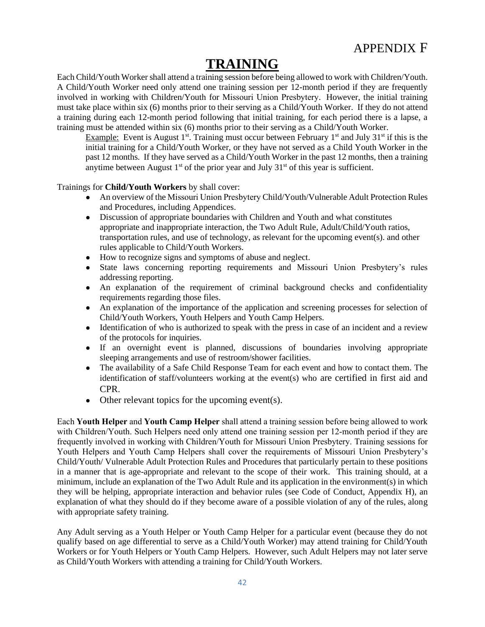# **TRAINING**

Each Child/Youth Worker shall attend a training session before being allowed to work with Children/Youth. A Child/Youth Worker need only attend one training session per 12-month period if they are frequently involved in working with Children/Youth for Missouri Union Presbytery. However, the initial training must take place within six (6) months prior to their serving as a Child/Youth Worker. If they do not attend a training during each 12-month period following that initial training, for each period there is a lapse, a training must be attended within six (6) months prior to their serving as a Child/Youth Worker.

Example: Event is August  $1<sup>st</sup>$ . Training must occur between February  $1<sup>st</sup>$  and July 31<sup>st</sup> if this is the initial training for a Child/Youth Worker, or they have not served as a Child Youth Worker in the past 12 months. If they have served as a Child/Youth Worker in the past 12 months, then a training anytime between August  $1<sup>st</sup>$  of the prior year and July  $31<sup>st</sup>$  of this year is sufficient.

Trainings for **Child/Youth Workers** by shall cover:

- An overview of the Missouri Union Presbytery Child/Youth/Vulnerable Adult Protection Rules and Procedures, including Appendices.
- Discussion of appropriate boundaries with Children and Youth and what constitutes appropriate and inappropriate interaction, the Two Adult Rule, Adult/Child/Youth ratios, transportation rules, and use of technology, as relevant for the upcoming event(s). and other rules applicable to Child/Youth Workers.
- How to recognize signs and symptoms of abuse and neglect.
- State laws concerning reporting requirements and Missouri Union Presbytery's rules addressing reporting.
- An explanation of the requirement of criminal background checks and confidentiality requirements regarding those files.
- An explanation of the importance of the application and screening processes for selection of Child/Youth Workers, Youth Helpers and Youth Camp Helpers.
- Identification of who is authorized to speak with the press in case of an incident and a review of the protocols for inquiries.
- If an overnight event is planned, discussions of boundaries involving appropriate sleeping arrangements and use of restroom/shower facilities.
- The availability of a Safe Child Response Team for each event and how to contact them. The identification of staff/volunteers working at the event(s) who are certified in first aid and CPR.
- $\bullet$  Other relevant topics for the upcoming event(s).

Each **Youth Helper** and **Youth Camp Helper** shall attend a training session before being allowed to work with Children/Youth. Such Helpers need only attend one training session per 12-month period if they are frequently involved in working with Children/Youth for Missouri Union Presbytery. Training sessions for Youth Helpers and Youth Camp Helpers shall cover the requirements of Missouri Union Presbytery's Child/Youth/ Vulnerable Adult Protection Rules and Procedures that particularly pertain to these positions in a manner that is age-appropriate and relevant to the scope of their work. This training should, at a minimum, include an explanation of the Two Adult Rule and its application in the environment(s) in which they will be helping, appropriate interaction and behavior rules (see Code of Conduct, Appendix H), an explanation of what they should do if they become aware of a possible violation of any of the rules, along with appropriate safety training.

Any Adult serving as a Youth Helper or Youth Camp Helper for a particular event (because they do not qualify based on age differential to serve as a Child/Youth Worker) may attend training for Child/Youth Workers or for Youth Helpers or Youth Camp Helpers. However, such Adult Helpers may not later serve as Child/Youth Workers with attending a training for Child/Youth Workers.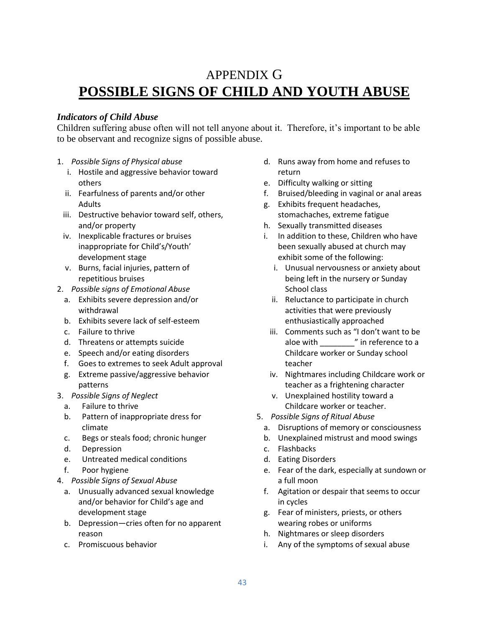## APPENDIX G **POSSIBLE SIGNS OF CHILD AND YOUTH ABUSE**

## *Indicators of Child Abuse*

Children suffering abuse often will not tell anyone about it. Therefore, it's important to be able to be observant and recognize signs of possible abuse.

- 1. *Possible Signs of Physical abuse*
	- i. Hostile and aggressive behavior toward others
	- ii. Fearfulness of parents and/or other Adults
	- iii. Destructive behavior toward self, others, and/or property
	- iv. Inexplicable fractures or bruises inappropriate for Child's/Youth' development stage
	- v. Burns, facial injuries, pattern of repetitious bruises
- 2. *Possible signs of Emotional Abuse*
	- a. Exhibits severe depression and/or withdrawal
	- b. Exhibits severe lack of self-esteem
	- c. Failure to thrive
	- d. Threatens or attempts suicide
	- e. Speech and/or eating disorders
	- f. Goes to extremes to seek Adult approval
	- g. Extreme passive/aggressive behavior patterns
- 3. *Possible Signs of Neglect*
	- a. Failure to thrive
	- b. Pattern of inappropriate dress for climate
	- c. Begs or steals food; chronic hunger
	- d. Depression
	- e. Untreated medical conditions
	- f. Poor hygiene
- 4. *Possible Signs of Sexual Abuse*
	- a. Unusually advanced sexual knowledge and/or behavior for Child's age and development stage
	- b. Depression—cries often for no apparent reason
	- c. Promiscuous behavior
- d. Runs away from home and refuses to return
- e. Difficulty walking or sitting
- f. Bruised/bleeding in vaginal or anal areas
- g. Exhibits frequent headaches, stomachaches, extreme fatigue
- h. Sexually transmitted diseases
- i. In addition to these, Children who have been sexually abused at church may exhibit some of the following:
	- i. Unusual nervousness or anxiety about being left in the nursery or Sunday School class
	- ii. Reluctance to participate in church activities that were previously enthusiastically approached
	- iii. Comments such as "I don't want to be aloe with  $\blacksquare$  in reference to a Childcare worker or Sunday school teacher
	- iv. Nightmares including Childcare work or teacher as a frightening character
	- v. Unexplained hostility toward a Childcare worker or teacher.
- 5. *Possible Signs of Ritual Abuse*
	- a. Disruptions of memory or consciousness
	- b. Unexplained mistrust and mood swings
	- c. Flashbacks
	- d. Eating Disorders
	- e. Fear of the dark, especially at sundown or a full moon
	- f. Agitation or despair that seems to occur in cycles
	- g. Fear of ministers, priests, or others wearing robes or uniforms
	- h. Nightmares or sleep disorders
	- i. Any of the symptoms of sexual abuse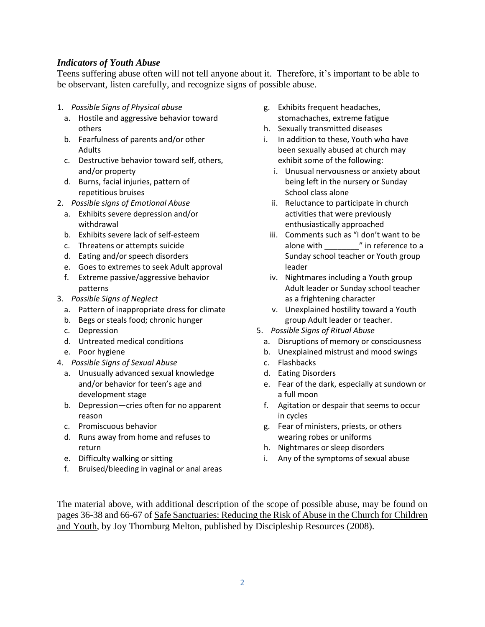### *Indicators of Youth Abuse*

Teens suffering abuse often will not tell anyone about it. Therefore, it's important to be able to be observant, listen carefully, and recognize signs of possible abuse.

- 1. *Possible Signs of Physical abuse*
	- a. Hostile and aggressive behavior toward others
	- b. Fearfulness of parents and/or other Adults
	- c. Destructive behavior toward self, others, and/or property
	- d. Burns, facial injuries, pattern of repetitious bruises
- 2. *Possible signs of Emotional Abuse*
	- a. Exhibits severe depression and/or withdrawal
	- b. Exhibits severe lack of self-esteem
	- c. Threatens or attempts suicide
	- d. Eating and/or speech disorders
	- e. Goes to extremes to seek Adult approval
	- f. Extreme passive/aggressive behavior patterns
- 3. *Possible Signs of Neglect*
	- a. Pattern of inappropriate dress for climate
	- b. Begs or steals food; chronic hunger
	- c. Depression
	- d. Untreated medical conditions
	- e. Poor hygiene
- 4. *Possible Signs of Sexual Abuse*
	- a. Unusually advanced sexual knowledge and/or behavior for teen's age and development stage
	- b. Depression—cries often for no apparent reason
	- c. Promiscuous behavior
	- d. Runs away from home and refuses to return
	- e. Difficulty walking or sitting
	- f. Bruised/bleeding in vaginal or anal areas
- g. Exhibits frequent headaches, stomachaches, extreme fatigue
- h. Sexually transmitted diseases
- i. In addition to these, Youth who have been sexually abused at church may exhibit some of the following:
	- i. Unusual nervousness or anxiety about being left in the nursery or Sunday School class alone
	- ii. Reluctance to participate in church activities that were previously enthusiastically approached
	- iii. Comments such as "I don't want to be alone with  $\blacksquare$  in reference to a Sunday school teacher or Youth group leader
	- iv. Nightmares including a Youth group Adult leader or Sunday school teacher as a frightening character
	- v. Unexplained hostility toward a Youth group Adult leader or teacher.
- 5. *Possible Signs of Ritual Abuse*
	- a. Disruptions of memory or consciousness
	- b. Unexplained mistrust and mood swings
	- c. Flashbacks
	- d. Eating Disorders
	- e. Fear of the dark, especially at sundown or a full moon
	- f. Agitation or despair that seems to occur in cycles
	- g. Fear of ministers, priests, or others wearing robes or uniforms
	- h. Nightmares or sleep disorders
	- i. Any of the symptoms of sexual abuse

The material above, with additional description of the scope of possible abuse, may be found on pages 36-38 and 66-67 of Safe Sanctuaries: Reducing the Risk of Abuse in the Church for Children and Youth, by Joy Thornburg Melton, published by Discipleship Resources (2008).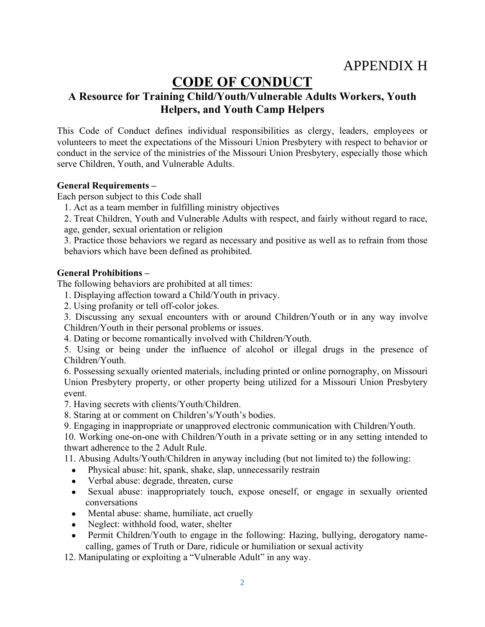## APPENDIX H

## **CODE OF CONDUCT**

## **A Resource for Training Child/Youth/Vulnerable Adults Workers, Youth Helpers, and Youth Camp Helpers**

This Code of Conduct defines individual responsibilities as clergy, leaders, employees or volunteers to meet the expectations of the Missouri Union Presbytery with respect to behavior or conduct in the service of the ministries of the Missouri Union Presbytery, especially those which serve Children, Youth, and Vulnerable Adults.

### **General Requirements –**

Each person subject to this Code shall

1. Act as a team member in fulfilling ministry objectives

2. Treat Children, Youth and Vulnerable Adults with respect, and fairly without regard to race, age, gender, sexual orientation or religion

3. Practice those behaviors we regard as necessary and positive as well as to refrain from those behaviors which have been defined as prohibited.

### **General Prohibitions –**

The following behaviors are prohibited at all times:

1. Displaying affection toward a Child/Youth in privacy.

2. Using profanity or tell off-color jokes.

3. Discussing any sexual encounters with or around Children/Youth or in any way involve Children/Youth in their personal problems or issues.

4. Dating or become romantically involved with Children/Youth.

5. Using or being under the influence of alcohol or illegal drugs in the presence of Children/Youth.

6. Possessing sexually oriented materials, including printed or online pornography, on Missouri Union Presbytery property, or other property being utilized for a Missouri Union Presbytery event.

7. Having secrets with clients/Youth/Children.

8. Staring at or comment on Children's/Youth's bodies.

9. Engaging in inappropriate or unapproved electronic communication with Children/Youth.

10. Working one-on-one with Children/Youth in a private setting or in any setting intended to thwart adherence to the 2 Adult Rule.

11. Abusing Adults/Youth/Children in anyway including (but not limited to) the following:

- Physical abuse: hit, spank, shake, slap, unnecessarily restrain
- Verbal abuse: degrade, threaten, curse
- Sexual abuse: inappropriately touch, expose oneself, or engage in sexually oriented conversations
- Mental abuse: shame, humiliate, act cruelly
- Neglect: withhold food, water, shelter
- Permit Children/Youth to engage in the following: Hazing, bullying, derogatory namecalling, games of Truth or Dare, ridicule or humiliation or sexual activity

12. Manipulating or exploiting a "Vulnerable Adult" in any way.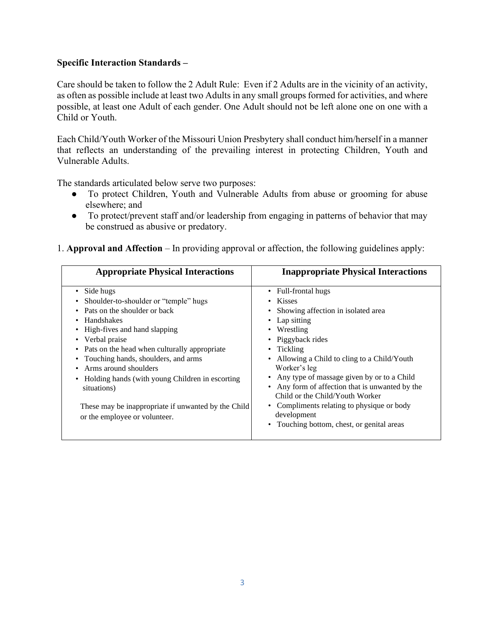### **Specific Interaction Standards –**

Care should be taken to follow the 2 Adult Rule: Even if 2 Adults are in the vicinity of an activity, as often as possible include at least two Adults in any small groups formed for activities, and where possible, at least one Adult of each gender. One Adult should not be left alone one on one with a Child or Youth.

Each Child/Youth Worker of the Missouri Union Presbytery shall conduct him/herself in a manner that reflects an understanding of the prevailing interest in protecting Children, Youth and Vulnerable Adults.

The standards articulated below serve two purposes:

- To protect Children, Youth and Vulnerable Adults from abuse or grooming for abuse elsewhere; and
- To protect/prevent staff and/or leadership from engaging in patterns of behavior that may be construed as abusive or predatory.

| 1. Approval and Affection – In providing approval or affection, the following guidelines apply: |  |  |  |
|-------------------------------------------------------------------------------------------------|--|--|--|
|-------------------------------------------------------------------------------------------------|--|--|--|

| <b>Appropriate Physical Interactions</b>                                                                                                                                                                                                                                                                                                                                                                                                     | <b>Inappropriate Physical Interactions</b>                                                                                                                                                                                                                                                                                                                                                                                                                    |
|----------------------------------------------------------------------------------------------------------------------------------------------------------------------------------------------------------------------------------------------------------------------------------------------------------------------------------------------------------------------------------------------------------------------------------------------|---------------------------------------------------------------------------------------------------------------------------------------------------------------------------------------------------------------------------------------------------------------------------------------------------------------------------------------------------------------------------------------------------------------------------------------------------------------|
| Side hugs<br>Shoulder-to-shoulder or "temple" hugs<br>Pats on the shoulder or back<br><b>Handshakes</b><br>• High-fives and hand slapping<br>• Verbal praise<br>• Pats on the head when culturally appropriate<br>• Touching hands, shoulders, and arms<br>Arms around shoulders<br>• Holding hands (with young Children in escorting<br>situations)<br>These may be inappropriate if unwanted by the Child<br>or the employee or volunteer. | Full-frontal hugs<br>$\bullet$<br><b>Kisses</b><br>Showing affection in isolated area<br>Lap sitting<br>Wrestling<br>• Piggyback rides<br>Tickling<br>Allowing a Child to cling to a Child/Youth<br>Worker's leg<br>Any type of massage given by or to a Child<br>Any form of affection that is unwanted by the<br>Child or the Child/Youth Worker<br>• Compliments relating to physique or body<br>development<br>• Touching bottom, chest, or genital areas |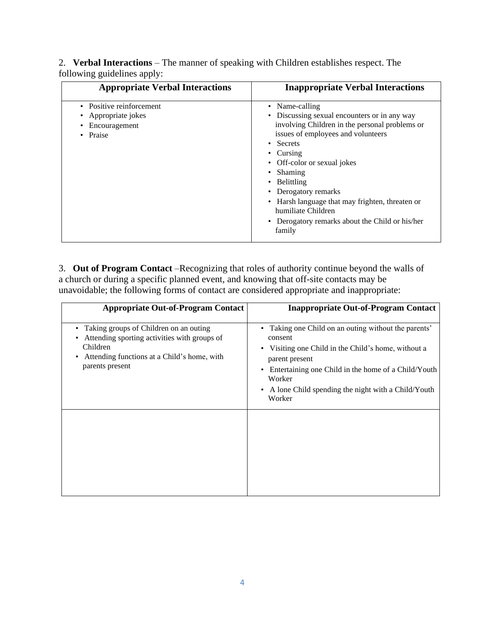2. **Verbal Interactions** – The manner of speaking with Children establishes respect. The following guidelines apply:

| <b>Appropriate Verbal Interactions</b>                                        | <b>Inappropriate Verbal Interactions</b>                                                                                                                                                                                                                                                                                                                                                   |
|-------------------------------------------------------------------------------|--------------------------------------------------------------------------------------------------------------------------------------------------------------------------------------------------------------------------------------------------------------------------------------------------------------------------------------------------------------------------------------------|
| • Positive reinforcement<br>Appropriate jokes<br>Encouragement<br>Praise<br>٠ | Name-calling<br>Discussing sexual encounters or in any way<br>involving Children in the personal problems or<br>issues of employees and volunteers<br>• Secrets<br>Cursing<br>Off-color or sexual jokes<br>Shaming<br>Belittling<br>Derogatory remarks<br>Harsh language that may frighten, threaten or<br>humiliate Children<br>• Derogatory remarks about the Child or his/her<br>family |

3. **Out of Program Contact** –Recognizing that roles of authority continue beyond the walls of a church or during a specific planned event, and knowing that off-site contacts may be unavoidable; the following forms of contact are considered appropriate and inappropriate:

| <b>Appropriate Out-of-Program Contact</b>                                                                                                                                                   | <b>Inappropriate Out-of-Program Contact</b>                                                                                                                                                                                                                                 |
|---------------------------------------------------------------------------------------------------------------------------------------------------------------------------------------------|-----------------------------------------------------------------------------------------------------------------------------------------------------------------------------------------------------------------------------------------------------------------------------|
| Taking groups of Children on an outing<br>٠<br>Attending sporting activities with groups of<br>$\bullet$<br>Children<br>Attending functions at a Child's home, with<br>٠<br>parents present | • Taking one Child on an outing without the parents'<br>consent<br>• Visiting one Child in the Child's home, without a<br>parent present<br>Entertaining one Child in the home of a Child/Youth<br>Worker<br>• A lone Child spending the night with a Child/Youth<br>Worker |
|                                                                                                                                                                                             |                                                                                                                                                                                                                                                                             |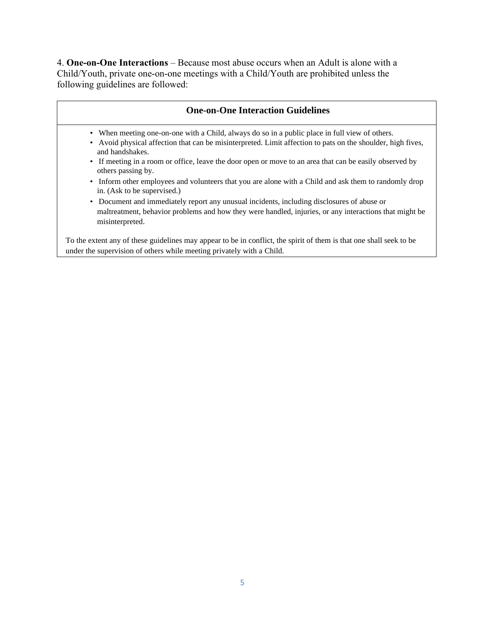4. **One-on-One Interactions** – Because most abuse occurs when an Adult is alone with a Child/Youth, private one-on-one meetings with a Child/Youth are prohibited unless the following guidelines are followed:

#### **One-on-One Interaction Guidelines**

- When meeting one-on-one with a Child, always do so in a public place in full view of others.
- Avoid physical affection that can be misinterpreted. Limit affection to pats on the shoulder, high fives, and handshakes.
- If meeting in a room or office, leave the door open or move to an area that can be easily observed by others passing by.
- Inform other employees and volunteers that you are alone with a Child and ask them to randomly drop in. (Ask to be supervised.)
- Document and immediately report any unusual incidents, including disclosures of abuse or maltreatment, behavior problems and how they were handled, injuries, or any interactions that might be misinterpreted.

To the extent any of these guidelines may appear to be in conflict, the spirit of them is that one shall seek to be under the supervision of others while meeting privately with a Child.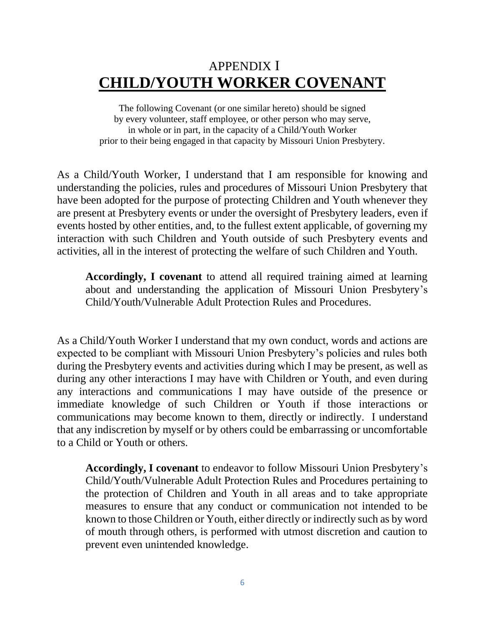# APPENDIX I **CHILD/YOUTH WORKER COVENANT**

The following Covenant (or one similar hereto) should be signed by every volunteer, staff employee, or other person who may serve, in whole or in part, in the capacity of a Child/Youth Worker prior to their being engaged in that capacity by Missouri Union Presbytery.

As a Child/Youth Worker, I understand that I am responsible for knowing and understanding the policies, rules and procedures of Missouri Union Presbytery that have been adopted for the purpose of protecting Children and Youth whenever they are present at Presbytery events or under the oversight of Presbytery leaders, even if events hosted by other entities, and, to the fullest extent applicable, of governing my interaction with such Children and Youth outside of such Presbytery events and activities, all in the interest of protecting the welfare of such Children and Youth.

**Accordingly, I covenant** to attend all required training aimed at learning about and understanding the application of Missouri Union Presbytery's Child/Youth/Vulnerable Adult Protection Rules and Procedures.

As a Child/Youth Worker I understand that my own conduct, words and actions are expected to be compliant with Missouri Union Presbytery's policies and rules both during the Presbytery events and activities during which I may be present, as well as during any other interactions I may have with Children or Youth, and even during any interactions and communications I may have outside of the presence or immediate knowledge of such Children or Youth if those interactions or communications may become known to them, directly or indirectly. I understand that any indiscretion by myself or by others could be embarrassing or uncomfortable to a Child or Youth or others.

**Accordingly, I covenant** to endeavor to follow Missouri Union Presbytery's Child/Youth/Vulnerable Adult Protection Rules and Procedures pertaining to the protection of Children and Youth in all areas and to take appropriate measures to ensure that any conduct or communication not intended to be known to those Children or Youth, either directly or indirectly such as by word of mouth through others, is performed with utmost discretion and caution to prevent even unintended knowledge.